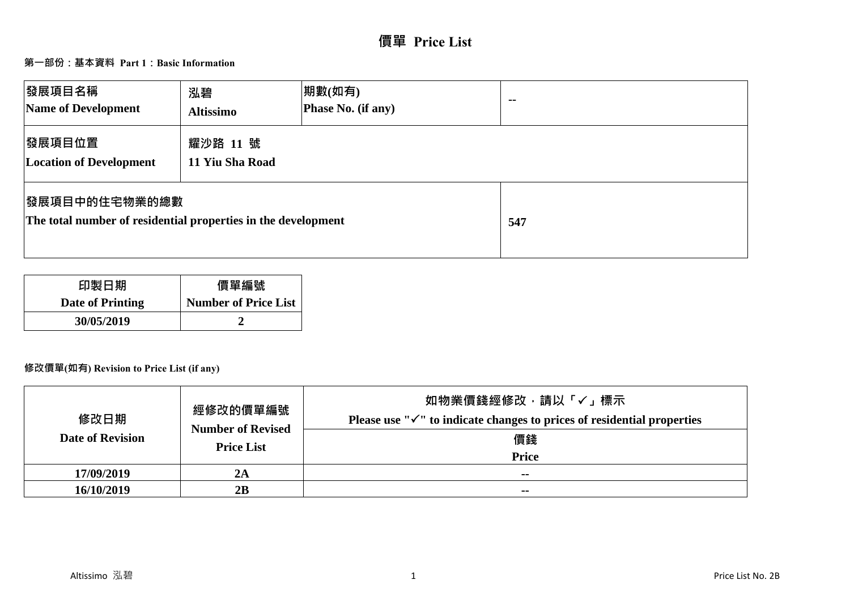# **價單 Price List**

## **第一部份:基本資料 Part 1:Basic Information**

| 發展項目名稱<br>Name of Development                                                          | 泓碧<br><b>Altissimo</b>      | 期數(如有)<br>Phase No. (if any) | $\sim$ $-$ |
|----------------------------------------------------------------------------------------|-----------------------------|------------------------------|------------|
| 發展項目位置<br><b>Location of Development</b>                                               | 耀沙路 11 號<br>11 Yiu Sha Road |                              |            |
| <b> 發展項目中的住宅物業的總數</b><br>The total number of residential properties in the development |                             |                              | 547        |

| 印製日期             | 價單編號                        |
|------------------|-----------------------------|
| Date of Printing | <b>Number of Price List</b> |
| 30/05/2019       |                             |

## **修改價單(如有) Revision to Price List (if any)**

| 修改日期<br><b>Date of Revision</b> | 經修改的價單編號<br><b>Number of Revised</b><br><b>Price List</b> | 如物業價錢經修改,請以「✔」標示<br>Please use " $\checkmark$ " to indicate changes to prices of residential properties<br>價錢<br><b>Price</b> |
|---------------------------------|-----------------------------------------------------------|-------------------------------------------------------------------------------------------------------------------------------|
| 17/09/2019                      | 2A                                                        | $\sim$ $\sim$                                                                                                                 |
| 16/10/2019                      | 2B                                                        | $\sim$ $\sim$                                                                                                                 |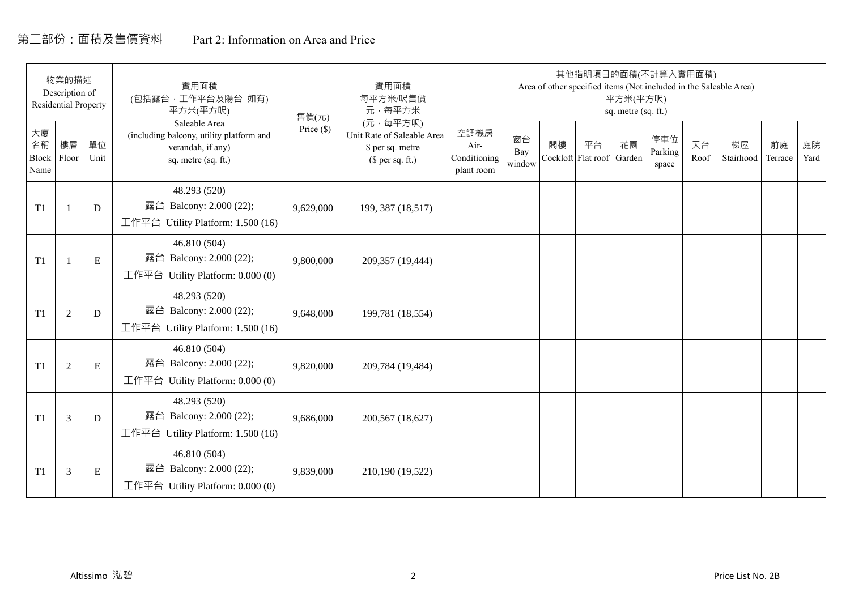# 第二部份:面積及售價資料 Part 2: Information on Area and Price

|                           | 物業的描述<br>Description of<br><b>Residential Property</b> |             | 實用面積<br>(包括露台, 工作平台及陽台 如有)<br>平方米(平方呎)                                                                | 售價(元)      | 實用面積<br>每平方米/呎售價<br>元·每平方米                                                     |                                            |                     |    | 其他指明項目的面積(不計算入實用面積)      | 平方米(平方呎)<br>sq. metre (sq. ft.) |                         |            | Area of other specified items (Not included in the Saleable Area) |               |            |
|---------------------------|--------------------------------------------------------|-------------|-------------------------------------------------------------------------------------------------------|------------|--------------------------------------------------------------------------------|--------------------------------------------|---------------------|----|--------------------------|---------------------------------|-------------------------|------------|-------------------------------------------------------------------|---------------|------------|
| 大廈<br>名稱<br>Block<br>Name | 樓層<br>Floor                                            | 單位<br>Unit  | Saleable Area<br>(including balcony, utility platform and<br>verandah, if any)<br>sq. metre (sq. ft.) | Price (\$) | (元·每平方呎)<br>Unit Rate of Saleable Area<br>\$ per sq. metre<br>$$$ per sq. ft.) | 空調機房<br>Air-<br>Conditioning<br>plant room | 窗台<br>Bay<br>window | 閣樓 | 平台<br>Cockloft Flat roof | 花園<br>Garden                    | 停車位<br>Parking<br>space | 天台<br>Roof | 梯屋<br>Stairhood                                                   | 前庭<br>Terrace | 庭院<br>Yard |
| T1                        |                                                        | D           | 48.293 (520)<br>露台 Balcony: 2.000 (22);<br>工作平台 Utility Platform: 1.500 (16)                          | 9,629,000  | 199, 387 (18,517)                                                              |                                            |                     |    |                          |                                 |                         |            |                                                                   |               |            |
| T1                        |                                                        | ${\bf E}$   | 46.810 (504)<br>露台 Balcony: 2.000 (22);<br>工作平台 Utility Platform: $0.000(0)$                          | 9,800,000  | 209,357 (19,444)                                                               |                                            |                     |    |                          |                                 |                         |            |                                                                   |               |            |
| T1                        | $\overline{2}$                                         | $\mathbf D$ | 48.293 (520)<br>露台 Balcony: 2.000 (22);<br>工作平台 Utility Platform: 1.500 (16)                          | 9,648,000  | 199,781 (18,554)                                                               |                                            |                     |    |                          |                                 |                         |            |                                                                   |               |            |
| T1                        | 2                                                      | E           | 46.810 (504)<br>露台 Balcony: 2.000 (22);<br>工作平台 Utility Platform: 0.000 (0)                           | 9,820,000  | 209,784 (19,484)                                                               |                                            |                     |    |                          |                                 |                         |            |                                                                   |               |            |
| T1                        | 3                                                      | D           | 48.293 (520)<br>露台 Balcony: 2.000 (22);<br>工作平台 Utility Platform: $1.500(16)$                         | 9,686,000  | 200,567 (18,627)                                                               |                                            |                     |    |                          |                                 |                         |            |                                                                   |               |            |
| T1                        | 3                                                      | Ε           | 46.810 (504)<br>露台 Balcony: 2.000 (22);<br>工作平台 Utility Platform: $0.000(0)$                          | 9,839,000  | 210,190 (19,522)                                                               |                                            |                     |    |                          |                                 |                         |            |                                                                   |               |            |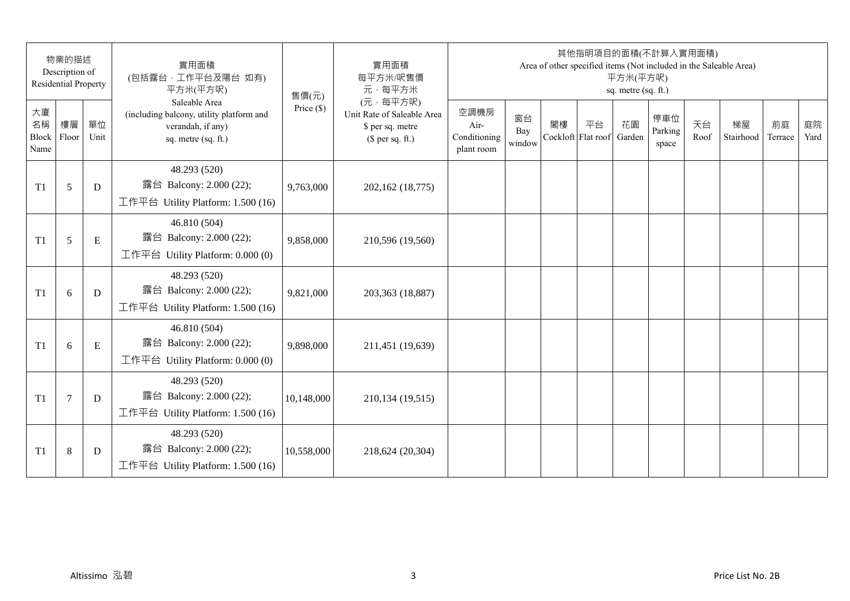|                           | 物業的描述<br>Description of<br><b>Residential Property</b> |            | 實用面積<br>(包括露台,工作平台及陽台 如有)<br>平方米(平方呎)                                                                 | 售價(元)        | 實用面積<br>每平方米/呎售價<br>元·每平方米                                                     |                                            |                     |    | 其他指明項目的面積(不計算入實用面積)      | 平方米(平方呎)<br>sq. metre (sq. ft.) |                         |            | Area of other specified items (Not included in the Saleable Area) |               |            |
|---------------------------|--------------------------------------------------------|------------|-------------------------------------------------------------------------------------------------------|--------------|--------------------------------------------------------------------------------|--------------------------------------------|---------------------|----|--------------------------|---------------------------------|-------------------------|------------|-------------------------------------------------------------------|---------------|------------|
| 大廈<br>名稱<br>Block<br>Name | 樓層<br>Floor                                            | 單位<br>Unit | Saleable Area<br>(including balcony, utility platform and<br>verandah, if any)<br>sq. metre (sq. ft.) | Price $(\$)$ | (元·每平方呎)<br>Unit Rate of Saleable Area<br>\$ per sq. metre<br>$$$ per sq. ft.) | 空調機房<br>Air-<br>Conditioning<br>plant room | 窗台<br>Bay<br>window | 閣樓 | 平台<br>Cockloft Flat roof | 花園<br>Garden                    | 停車位<br>Parking<br>space | 天台<br>Roof | 梯屋<br>Stairhood                                                   | 前庭<br>Terrace | 庭院<br>Yard |
| T <sub>1</sub>            | 5                                                      | D          | 48.293 (520)<br>露台 Balcony: 2.000 (22);<br>工作平台 Utility Platform: 1.500 (16)                          | 9,763,000    | 202,162 (18,775)                                                               |                                            |                     |    |                          |                                 |                         |            |                                                                   |               |            |
| T <sub>1</sub>            | 5                                                      | E          | 46.810 (504)<br>露台 Balcony: 2.000 (22);<br>工作平台 Utility Platform: 0.000 (0)                           | 9,858,000    | 210,596 (19,560)                                                               |                                            |                     |    |                          |                                 |                         |            |                                                                   |               |            |
| T <sub>1</sub>            | 6                                                      | D          | 48.293 (520)<br>露台 Balcony: 2.000 (22);<br>工作平台 Utility Platform: 1.500 (16)                          | 9,821,000    | 203,363 (18,887)                                                               |                                            |                     |    |                          |                                 |                         |            |                                                                   |               |            |
| T1                        | 6                                                      | ${\bf E}$  | 46.810 (504)<br>露台 Balcony: 2.000 (22);<br>工作平台 Utility Platform: 0.000 (0)                           | 9,898,000    | 211,451 (19,639)                                                               |                                            |                     |    |                          |                                 |                         |            |                                                                   |               |            |
| T <sub>1</sub>            | $\overline{7}$                                         | D          | 48.293 (520)<br>露台 Balcony: 2.000 (22);<br>工作平台 Utility Platform: 1.500 (16)                          | 10,148,000   | 210,134 (19,515)                                                               |                                            |                     |    |                          |                                 |                         |            |                                                                   |               |            |
| T <sub>1</sub>            | 8                                                      | D          | 48.293 (520)<br>露台 Balcony: 2.000 (22);<br>工作平台 Utility Platform: $1.500(16)$                         | 10,558,000   | 218,624 (20,304)                                                               |                                            |                     |    |                          |                                 |                         |            |                                                                   |               |            |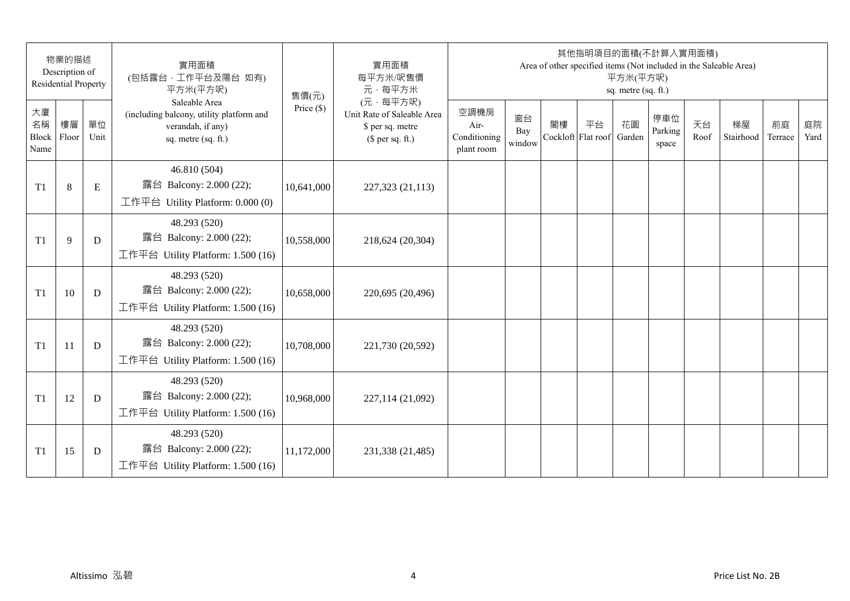|                           | 物業的描述<br>Description of<br><b>Residential Property</b> |            | 實用面積<br>(包括露台,工作平台及陽台 如有)<br>平方米(平方呎)                                                                 | 售價(元)        | 實用面積<br>每平方米/呎售價<br>元·每平方米                                                     |                                            |                     |    | 其他指明項目的面積(不計算入實用面積)      | 平方米(平方呎)<br>sq. metre (sq. ft.) |                         |            | Area of other specified items (Not included in the Saleable Area) |               |            |
|---------------------------|--------------------------------------------------------|------------|-------------------------------------------------------------------------------------------------------|--------------|--------------------------------------------------------------------------------|--------------------------------------------|---------------------|----|--------------------------|---------------------------------|-------------------------|------------|-------------------------------------------------------------------|---------------|------------|
| 大廈<br>名稱<br>Block<br>Name | 樓層<br>Floor                                            | 單位<br>Unit | Saleable Area<br>(including balcony, utility platform and<br>verandah, if any)<br>sq. metre (sq. ft.) | Price $(\$)$ | (元·每平方呎)<br>Unit Rate of Saleable Area<br>\$ per sq. metre<br>$$$ per sq. ft.) | 空調機房<br>Air-<br>Conditioning<br>plant room | 窗台<br>Bay<br>window | 閣樓 | 平台<br>Cockloft Flat roof | 花園<br>Garden                    | 停車位<br>Parking<br>space | 天台<br>Roof | 梯屋<br>Stairhood                                                   | 前庭<br>Terrace | 庭院<br>Yard |
| T <sub>1</sub>            | 8                                                      | E          | 46.810 (504)<br>露台 Balcony: 2.000 (22);<br>工作平台 Utility Platform: 0.000 (0)                           | 10,641,000   | 227,323 (21,113)                                                               |                                            |                     |    |                          |                                 |                         |            |                                                                   |               |            |
| T <sub>1</sub>            | 9                                                      | D          | 48.293 (520)<br>露台 Balcony: 2.000 (22);<br>工作平台 Utility Platform: 1.500 (16)                          | 10,558,000   | 218,624 (20,304)                                                               |                                            |                     |    |                          |                                 |                         |            |                                                                   |               |            |
| T <sub>1</sub>            | 10                                                     | D          | 48.293 (520)<br>露台 Balcony: 2.000 (22);<br>工作平台 Utility Platform: 1.500 (16)                          | 10,658,000   | 220,695 (20,496)                                                               |                                            |                     |    |                          |                                 |                         |            |                                                                   |               |            |
| T <sub>1</sub>            | 11                                                     | D          | 48.293 (520)<br>露台 Balcony: 2.000 (22);<br>工作平台 Utility Platform: 1.500 (16)                          | 10,708,000   | 221,730 (20,592)                                                               |                                            |                     |    |                          |                                 |                         |            |                                                                   |               |            |
| T1                        | 12                                                     | D          | 48.293 (520)<br>露台 Balcony: 2.000 (22);<br>工作平台 Utility Platform: 1.500 (16)                          | 10,968,000   | 227,114 (21,092)                                                               |                                            |                     |    |                          |                                 |                         |            |                                                                   |               |            |
| T <sub>1</sub>            | 15                                                     | D          | 48.293 (520)<br>露台 Balcony: 2.000 (22);<br>工作平台 Utility Platform: $1.500(16)$                         | 11,172,000   | 231,338 (21,485)                                                               |                                            |                     |    |                          |                                 |                         |            |                                                                   |               |            |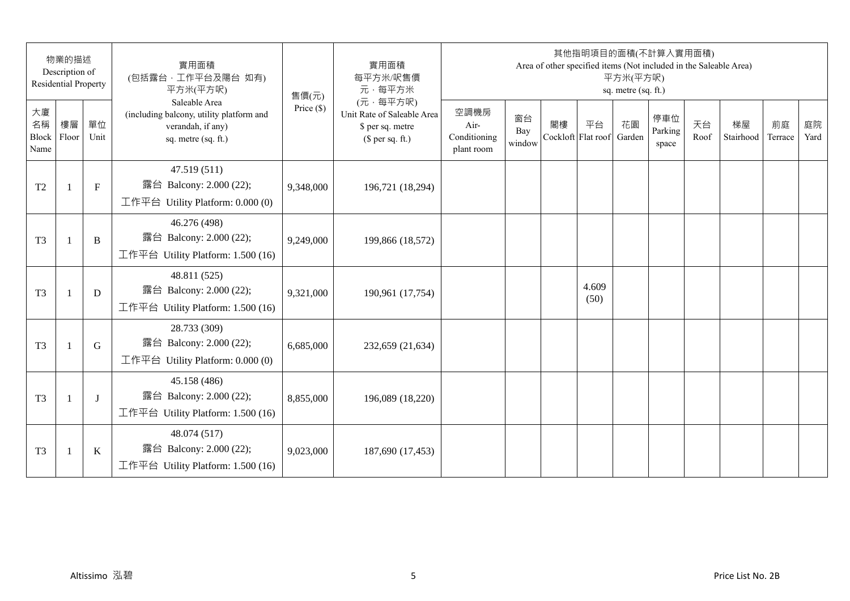|                           | 物業的描述<br>Description of<br><b>Residential Property</b> |              | 實用面積<br>(包括露台,工作平台及陽台 如有)<br>平方米(平方呎)                                                                 | 售價(元)        | 實用面積<br>每平方米/呎售價<br>元·每平方米                                                     |                                            |                     |    | 其他指明項目的面積(不計算入實用面積)<br>Area of other specified items (Not included in the Saleable Area) | 平方米(平方呎)<br>sq. metre (sq. ft.) |                         |            |                 |               |            |
|---------------------------|--------------------------------------------------------|--------------|-------------------------------------------------------------------------------------------------------|--------------|--------------------------------------------------------------------------------|--------------------------------------------|---------------------|----|------------------------------------------------------------------------------------------|---------------------------------|-------------------------|------------|-----------------|---------------|------------|
| 大廈<br>名稱<br>Block<br>Name | 樓層<br>Floor                                            | 單位<br>Unit   | Saleable Area<br>(including balcony, utility platform and<br>verandah, if any)<br>sq. metre (sq. ft.) | Price $(\$)$ | (元·每平方呎)<br>Unit Rate of Saleable Area<br>\$ per sq. metre<br>$$$ per sq. ft.) | 空調機房<br>Air-<br>Conditioning<br>plant room | 窗台<br>Bay<br>window | 閣樓 | 平台<br>Cockloft Flat roof                                                                 | 花園<br>Garden                    | 停車位<br>Parking<br>space | 天台<br>Roof | 梯屋<br>Stairhood | 前庭<br>Terrace | 庭院<br>Yard |
| T <sub>2</sub>            | $\mathbf{1}$                                           | $\mathbf{F}$ | 47.519 (511)<br>露台 Balcony: 2.000 (22);<br>工作平台 Utility Platform: 0.000 (0)                           | 9,348,000    | 196,721 (18,294)                                                               |                                            |                     |    |                                                                                          |                                 |                         |            |                 |               |            |
| T <sub>3</sub>            | $\overline{1}$                                         | B            | 46.276 (498)<br>露台 Balcony: 2.000 (22);<br>工作平台 Utility Platform: 1.500 (16)                          | 9,249,000    | 199,866 (18,572)                                                               |                                            |                     |    |                                                                                          |                                 |                         |            |                 |               |            |
| T <sub>3</sub>            | $\mathbf{1}$                                           | D            | 48.811 (525)<br>露台 Balcony: 2.000 (22);<br>工作平台 Utility Platform: 1.500 (16)                          | 9,321,000    | 190,961 (17,754)                                                               |                                            |                     |    | 4.609<br>(50)                                                                            |                                 |                         |            |                 |               |            |
| T <sub>3</sub>            | $\mathbf{1}$                                           | G            | 28.733 (309)<br>露台 Balcony: 2.000 (22);<br>工作平台 Utility Platform: 0.000 (0)                           | 6,685,000    | 232,659 (21,634)                                                               |                                            |                     |    |                                                                                          |                                 |                         |            |                 |               |            |
| T <sub>3</sub>            |                                                        | $\bf{J}$     | 45.158 (486)<br>露台 Balcony: 2.000 (22);<br>工作平台 Utility Platform: 1.500 (16)                          | 8,855,000    | 196,089 (18,220)                                                               |                                            |                     |    |                                                                                          |                                 |                         |            |                 |               |            |
| T <sub>3</sub>            | $\overline{1}$                                         | $\bf K$      | 48.074 (517)<br>露台 Balcony: 2.000 (22);<br>工作平台 Utility Platform: 1.500 (16)                          | 9,023,000    | 187,690 (17,453)                                                               |                                            |                     |    |                                                                                          |                                 |                         |            |                 |               |            |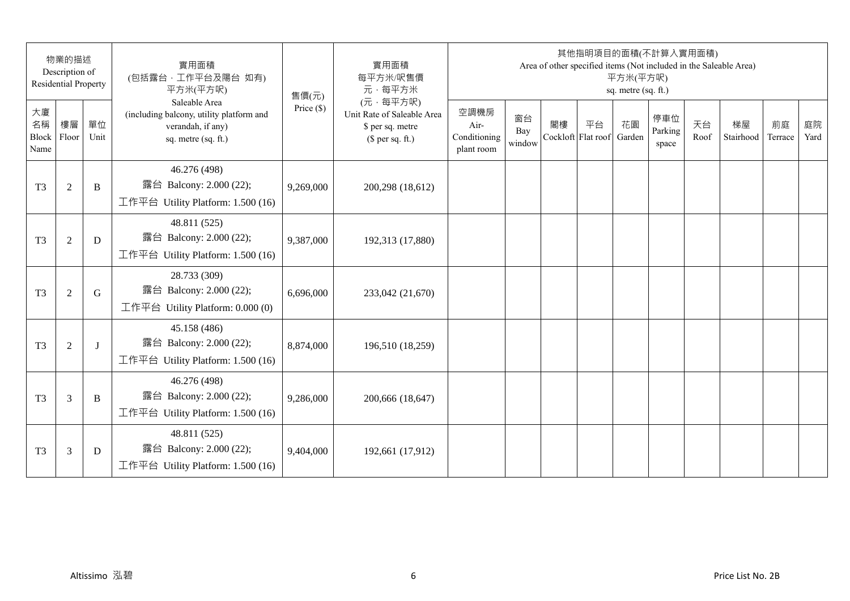|                           | 物業的描述<br>Description of<br><b>Residential Property</b> |              | 實用面積<br>(包括露台,工作平台及陽台 如有)<br>平方米(平方呎)                                                                 | 售價(元)        | 實用面積<br>每平方米/呎售價<br>元·每平方米                                                     |                                            |                     |    | 其他指明項目的面積(不計算入實用面積)      | 平方米(平方呎)<br>sq. metre (sq. ft.) |                         |            | Area of other specified items (Not included in the Saleable Area) |               |            |
|---------------------------|--------------------------------------------------------|--------------|-------------------------------------------------------------------------------------------------------|--------------|--------------------------------------------------------------------------------|--------------------------------------------|---------------------|----|--------------------------|---------------------------------|-------------------------|------------|-------------------------------------------------------------------|---------------|------------|
| 大廈<br>名稱<br>Block<br>Name | 樓層<br>Floor                                            | 單位<br>Unit   | Saleable Area<br>(including balcony, utility platform and<br>verandah, if any)<br>sq. metre (sq. ft.) | Price $(\$)$ | (元·每平方呎)<br>Unit Rate of Saleable Area<br>\$ per sq. metre<br>$$$ per sq. ft.) | 空調機房<br>Air-<br>Conditioning<br>plant room | 窗台<br>Bay<br>window | 閣樓 | 平台<br>Cockloft Flat roof | 花園<br>Garden                    | 停車位<br>Parking<br>space | 天台<br>Roof | 梯屋<br>Stairhood                                                   | 前庭<br>Terrace | 庭院<br>Yard |
| T <sub>3</sub>            | $\overline{2}$                                         | B            | 46.276 (498)<br>露台 Balcony: 2.000 (22);<br>工作平台 Utility Platform: 1.500 (16)                          | 9,269,000    | 200,298 (18,612)                                                               |                                            |                     |    |                          |                                 |                         |            |                                                                   |               |            |
| T <sub>3</sub>            | $\overline{2}$                                         | D            | 48.811 (525)<br>露台 Balcony: 2.000 (22);<br>工作平台 Utility Platform: 1.500 (16)                          | 9,387,000    | 192,313 (17,880)                                                               |                                            |                     |    |                          |                                 |                         |            |                                                                   |               |            |
| T <sub>3</sub>            | $\overline{2}$                                         | G            | 28.733 (309)<br>露台 Balcony: 2.000 (22);<br>工作平台 Utility Platform: $0.000(0)$                          | 6,696,000    | 233,042 (21,670)                                                               |                                            |                     |    |                          |                                 |                         |            |                                                                   |               |            |
| T <sub>3</sub>            | $\overline{2}$                                         | $\mathbf{I}$ | 45.158 (486)<br>露台 Balcony: 2.000 (22);<br>工作平台 Utility Platform: 1.500 (16)                          | 8,874,000    | 196,510 (18,259)                                                               |                                            |                     |    |                          |                                 |                         |            |                                                                   |               |            |
| T <sub>3</sub>            | 3                                                      | B            | 46.276 (498)<br>露台 Balcony: 2.000 (22);<br>工作平台 Utility Platform: 1.500 (16)                          | 9,286,000    | 200,666 (18,647)                                                               |                                            |                     |    |                          |                                 |                         |            |                                                                   |               |            |
| T <sub>3</sub>            | 3                                                      | D            | 48.811 (525)<br>露台 Balcony: 2.000 (22);<br>工作平台 Utility Platform: $1.500(16)$                         | 9,404,000    | 192,661 (17,912)                                                               |                                            |                     |    |                          |                                 |                         |            |                                                                   |               |            |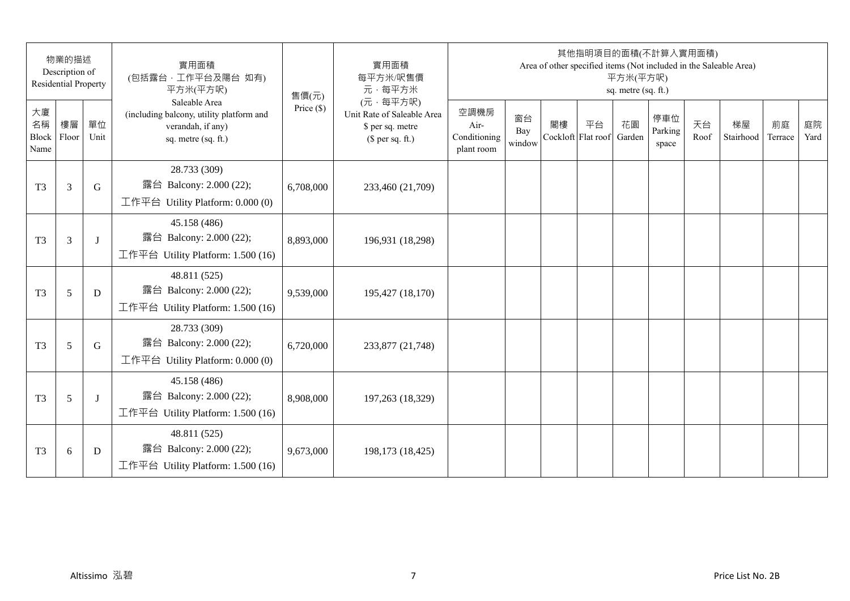|                           | 物業的描述<br>Description of<br><b>Residential Property</b> |            | 實用面積<br>(包括露台,工作平台及陽台 如有)<br>平方米(平方呎)                                                                 | 售價(元)        | 實用面積<br>每平方米/呎售價<br>元·每平方米                                                     |                                            |                     |    | 其他指明項目的面積(不計算入實用面積)      | 平方米(平方呎)<br>sq. metre (sq. ft.) |                         |            | Area of other specified items (Not included in the Saleable Area) |               |            |
|---------------------------|--------------------------------------------------------|------------|-------------------------------------------------------------------------------------------------------|--------------|--------------------------------------------------------------------------------|--------------------------------------------|---------------------|----|--------------------------|---------------------------------|-------------------------|------------|-------------------------------------------------------------------|---------------|------------|
| 大廈<br>名稱<br>Block<br>Name | 樓層<br>Floor                                            | 單位<br>Unit | Saleable Area<br>(including balcony, utility platform and<br>verandah, if any)<br>sq. metre (sq. ft.) | Price $(\$)$ | (元·每平方呎)<br>Unit Rate of Saleable Area<br>\$ per sq. metre<br>$$$ per sq. ft.) | 空調機房<br>Air-<br>Conditioning<br>plant room | 窗台<br>Bay<br>window | 閣樓 | 平台<br>Cockloft Flat roof | 花園<br>Garden                    | 停車位<br>Parking<br>space | 天台<br>Roof | 梯屋<br>Stairhood                                                   | 前庭<br>Terrace | 庭院<br>Yard |
| T <sub>3</sub>            | 3                                                      | G          | 28.733 (309)<br>露台 Balcony: 2.000 (22);<br>工作平台 Utility Platform: 0.000 (0)                           | 6,708,000    | 233,460 (21,709)                                                               |                                            |                     |    |                          |                                 |                         |            |                                                                   |               |            |
| T <sub>3</sub>            | $\overline{3}$                                         | J          | 45.158 (486)<br>露台 Balcony: 2.000 (22);<br>工作平台 Utility Platform: 1.500 (16)                          | 8,893,000    | 196,931 (18,298)                                                               |                                            |                     |    |                          |                                 |                         |            |                                                                   |               |            |
| T <sub>3</sub>            | 5                                                      | D          | 48.811 (525)<br>露台 Balcony: 2.000 (22);<br>工作平台 Utility Platform: 1.500 (16)                          | 9,539,000    | 195,427 (18,170)                                                               |                                            |                     |    |                          |                                 |                         |            |                                                                   |               |            |
| T <sub>3</sub>            | 5                                                      | G          | 28.733 (309)<br>露台 Balcony: 2.000 (22);<br>工作平台 Utility Platform: 0.000 (0)                           | 6,720,000    | 233,877 (21,748)                                                               |                                            |                     |    |                          |                                 |                         |            |                                                                   |               |            |
| T <sub>3</sub>            | 5                                                      | J          | 45.158 (486)<br>露台 Balcony: 2.000 (22);<br>工作平台 Utility Platform: 1.500 (16)                          | 8,908,000    | 197,263 (18,329)                                                               |                                            |                     |    |                          |                                 |                         |            |                                                                   |               |            |
| T <sub>3</sub>            | 6                                                      | D          | 48.811 (525)<br>露台 Balcony: 2.000 (22);<br>工作平台 Utility Platform: $1.500(16)$                         | 9,673,000    | 198,173 (18,425)                                                               |                                            |                     |    |                          |                                 |                         |            |                                                                   |               |            |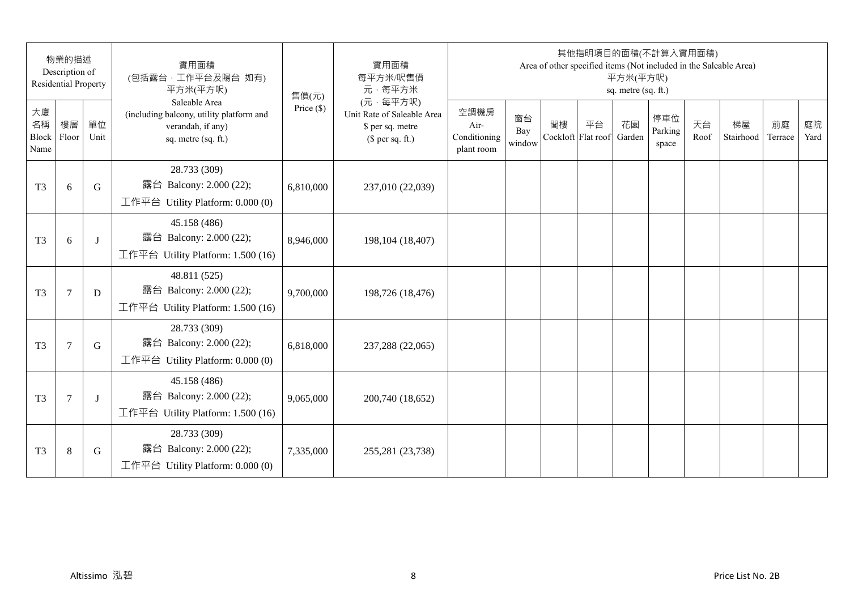|                                  | 物業的描述<br>Description of<br><b>Residential Property</b> |             | 實用面積<br>(包括露台,工作平台及陽台 如有)<br>平方米(平方呎)                                                                 | 售價(元)        | 實用面積<br>每平方米/呎售價<br>元·每平方米                                                     |                                            |                     |    | 其他指明項目的面積(不計算入實用面積)<br>Area of other specified items (Not included in the Saleable Area) | 平方米(平方呎)<br>sq. metre (sq. ft.) |                         |            |                 |               |            |
|----------------------------------|--------------------------------------------------------|-------------|-------------------------------------------------------------------------------------------------------|--------------|--------------------------------------------------------------------------------|--------------------------------------------|---------------------|----|------------------------------------------------------------------------------------------|---------------------------------|-------------------------|------------|-----------------|---------------|------------|
| 大廈<br>名稱<br><b>Block</b><br>Name | 樓層<br>Floor                                            | 單位<br>Unit  | Saleable Area<br>(including balcony, utility platform and<br>verandah, if any)<br>sq. metre (sq. ft.) | Price $(\$)$ | (元·每平方呎)<br>Unit Rate of Saleable Area<br>\$ per sq. metre<br>$$$ per sq. ft.) | 空調機房<br>Air-<br>Conditioning<br>plant room | 窗台<br>Bay<br>window | 閣樓 | 平台<br>Cockloft Flat roof                                                                 | 花園<br>Garden                    | 停車位<br>Parking<br>space | 天台<br>Roof | 梯屋<br>Stairhood | 前庭<br>Terrace | 庭院<br>Yard |
| T <sub>3</sub>                   | 6                                                      | G           | 28.733 (309)<br>露台 Balcony: 2.000 (22);<br>工作平台 Utility Platform: 0.000 (0)                           | 6,810,000    | 237,010 (22,039)                                                               |                                            |                     |    |                                                                                          |                                 |                         |            |                 |               |            |
| T <sub>3</sub>                   | 6                                                      | $\bf{J}$    | 45.158 (486)<br>露台 Balcony: 2.000 (22);<br>工作平台 Utility Platform: 1.500 (16)                          | 8,946,000    | 198, 104 (18, 407)                                                             |                                            |                     |    |                                                                                          |                                 |                         |            |                 |               |            |
| T <sub>3</sub>                   | $\overline{7}$                                         | D           | 48.811 (525)<br>露台 Balcony: 2.000 (22);<br>工作平台 Utility Platform: $1.500(16)$                         | 9,700,000    | 198,726 (18,476)                                                               |                                            |                     |    |                                                                                          |                                 |                         |            |                 |               |            |
| T <sub>3</sub>                   | $\overline{7}$                                         | $\mathbf G$ | 28.733 (309)<br>露台 Balcony: 2.000 (22);<br>工作平台 Utility Platform: 0.000 (0)                           | 6,818,000    | 237,288 (22,065)                                                               |                                            |                     |    |                                                                                          |                                 |                         |            |                 |               |            |
| T <sub>3</sub>                   | $\overline{7}$                                         | J           | 45.158 (486)<br>露台 Balcony: 2.000 (22);<br>工作平台 Utility Platform: 1.500 (16)                          | 9,065,000    | 200,740 (18,652)                                                               |                                            |                     |    |                                                                                          |                                 |                         |            |                 |               |            |
| T <sub>3</sub>                   | 8                                                      | G           | 28.733 (309)<br>露台 Balcony: 2.000 (22);<br>工作平台 Utility Platform: $0.000(0)$                          | 7,335,000    | 255,281 (23,738)                                                               |                                            |                     |    |                                                                                          |                                 |                         |            |                 |               |            |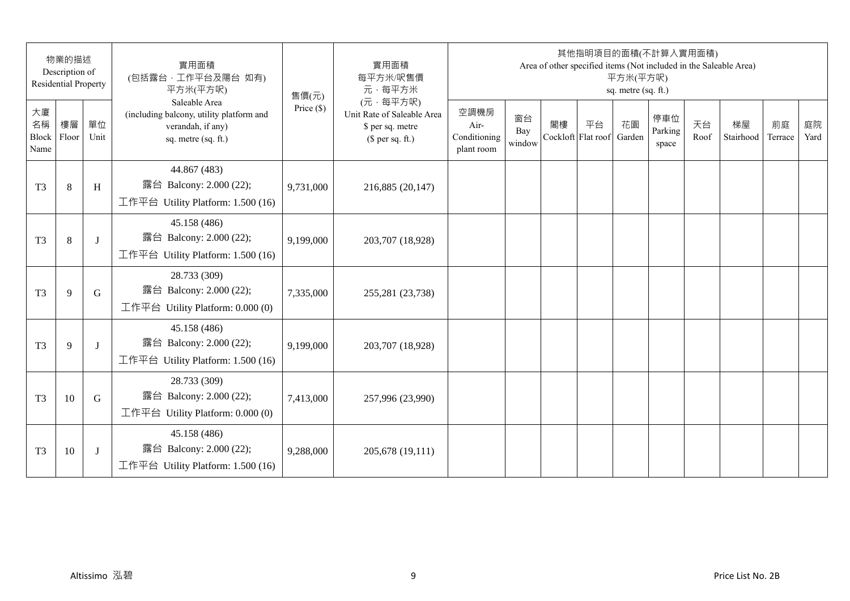|                           | 物業的描述<br>Description of<br><b>Residential Property</b> |              | 實用面積<br>(包括露台,工作平台及陽台 如有)<br>平方米(平方呎)                                                                 | 售價(元)        | 實用面積<br>每平方米/呎售價<br>元·每平方米                                                     |                                            |                     |    | 其他指明項目的面積(不計算入實用面積)      | 平方米(平方呎)<br>sq. metre (sq. ft.) |                         |            | Area of other specified items (Not included in the Saleable Area) |               |            |
|---------------------------|--------------------------------------------------------|--------------|-------------------------------------------------------------------------------------------------------|--------------|--------------------------------------------------------------------------------|--------------------------------------------|---------------------|----|--------------------------|---------------------------------|-------------------------|------------|-------------------------------------------------------------------|---------------|------------|
| 大廈<br>名稱<br>Block<br>Name | 樓層<br>Floor                                            | 單位<br>Unit   | Saleable Area<br>(including balcony, utility platform and<br>verandah, if any)<br>sq. metre (sq. ft.) | Price $(\$)$ | (元·每平方呎)<br>Unit Rate of Saleable Area<br>\$ per sq. metre<br>$$$ per sq. ft.) | 空調機房<br>Air-<br>Conditioning<br>plant room | 窗台<br>Bay<br>window | 閣樓 | 平台<br>Cockloft Flat roof | 花園<br>Garden                    | 停車位<br>Parking<br>space | 天台<br>Roof | 梯屋<br>Stairhood                                                   | 前庭<br>Terrace | 庭院<br>Yard |
| T <sub>3</sub>            | 8                                                      | H            | 44.867 (483)<br>露台 Balcony: 2.000 (22);<br>工作平台 Utility Platform: 1.500 (16)                          | 9,731,000    | 216,885 (20,147)                                                               |                                            |                     |    |                          |                                 |                         |            |                                                                   |               |            |
| T <sub>3</sub>            | 8                                                      | J            | 45.158 (486)<br>露台 Balcony: 2.000 (22);<br>工作平台 Utility Platform: 1.500 (16)                          | 9,199,000    | 203,707 (18,928)                                                               |                                            |                     |    |                          |                                 |                         |            |                                                                   |               |            |
| T <sub>3</sub>            | 9                                                      | G            | 28.733 (309)<br>露台 Balcony: 2.000 (22);<br>工作平台 Utility Platform: $0.000(0)$                          | 7,335,000    | 255,281 (23,738)                                                               |                                            |                     |    |                          |                                 |                         |            |                                                                   |               |            |
| T <sub>3</sub>            | 9                                                      | $\mathbf{I}$ | 45.158 (486)<br>露台 Balcony: 2.000 (22);<br>工作平台 Utility Platform: 1.500 (16)                          | 9,199,000    | 203,707 (18,928)                                                               |                                            |                     |    |                          |                                 |                         |            |                                                                   |               |            |
| T <sub>3</sub>            | 10                                                     | G            | 28.733 (309)<br>露台 Balcony: 2.000 (22);<br>工作平台 Utility Platform: $0.000(0)$                          | 7,413,000    | 257,996 (23,990)                                                               |                                            |                     |    |                          |                                 |                         |            |                                                                   |               |            |
| T <sub>3</sub>            | 10                                                     | J            | 45.158 (486)<br>露台 Balcony: 2.000 (22);<br>工作平台 Utility Platform: $1.500(16)$                         | 9,288,000    | 205,678 (19,111)                                                               |                                            |                     |    |                          |                                 |                         |            |                                                                   |               |            |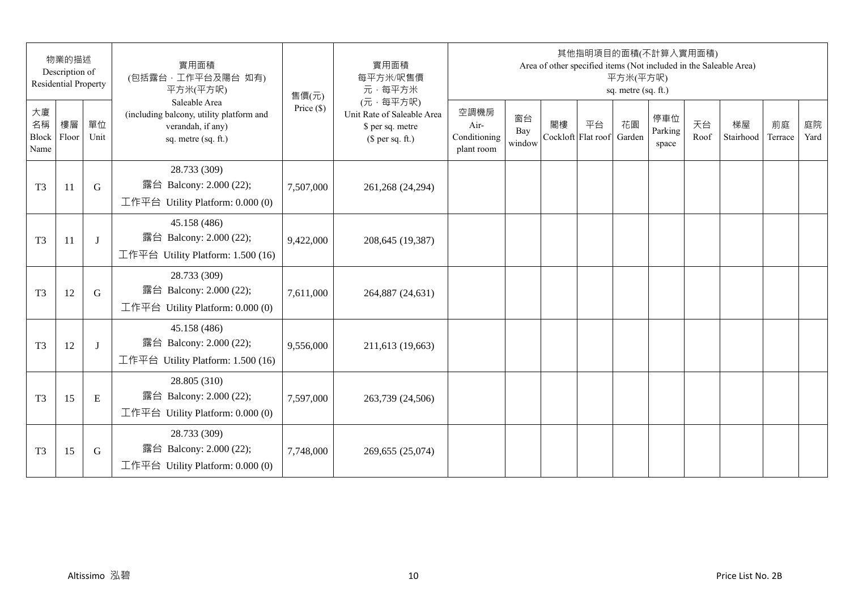|                           | 物業的描述<br>Description of<br><b>Residential Property</b> |              | 實用面積<br>(包括露台,工作平台及陽台 如有)<br>平方米(平方呎)                                                                 | 售價(元)        | 實用面積<br>每平方米/呎售價<br>元·每平方米                                                     |                                            |                     |    | 其他指明項目的面積(不計算入實用面積)      | 平方米(平方呎)<br>sq. metre (sq. ft.) |                         |            | Area of other specified items (Not included in the Saleable Area) |               |            |
|---------------------------|--------------------------------------------------------|--------------|-------------------------------------------------------------------------------------------------------|--------------|--------------------------------------------------------------------------------|--------------------------------------------|---------------------|----|--------------------------|---------------------------------|-------------------------|------------|-------------------------------------------------------------------|---------------|------------|
| 大廈<br>名稱<br>Block<br>Name | 樓層<br>Floor                                            | 單位<br>Unit   | Saleable Area<br>(including balcony, utility platform and<br>verandah, if any)<br>sq. metre (sq. ft.) | Price $(\$)$ | (元·每平方呎)<br>Unit Rate of Saleable Area<br>\$ per sq. metre<br>$$$ per sq. ft.) | 空調機房<br>Air-<br>Conditioning<br>plant room | 窗台<br>Bay<br>window | 閣樓 | 平台<br>Cockloft Flat roof | 花園<br>Garden                    | 停車位<br>Parking<br>space | 天台<br>Roof | 梯屋<br>Stairhood                                                   | 前庭<br>Terrace | 庭院<br>Yard |
| T <sub>3</sub>            | 11                                                     | G            | 28.733 (309)<br>露台 Balcony: 2.000 (22);<br>工作平台 Utility Platform: $0.000(0)$                          | 7,507,000    | 261,268 (24,294)                                                               |                                            |                     |    |                          |                                 |                         |            |                                                                   |               |            |
| T <sub>3</sub>            | 11                                                     | J            | 45.158 (486)<br>露台 Balcony: 2.000 (22);<br>工作平台 Utility Platform: 1.500 (16)                          | 9,422,000    | 208,645 (19,387)                                                               |                                            |                     |    |                          |                                 |                         |            |                                                                   |               |            |
| T <sub>3</sub>            | 12                                                     | G            | 28.733 (309)<br>露台 Balcony: 2.000 (22);<br>工作平台 Utility Platform: 0.000 (0)                           | 7,611,000    | 264,887 (24,631)                                                               |                                            |                     |    |                          |                                 |                         |            |                                                                   |               |            |
| T <sub>3</sub>            | 12                                                     | $\mathbf{I}$ | 45.158 (486)<br>露台 Balcony: 2.000 (22);<br>工作平台 Utility Platform: 1.500 (16)                          | 9,556,000    | 211,613 (19,663)                                                               |                                            |                     |    |                          |                                 |                         |            |                                                                   |               |            |
| T <sub>3</sub>            | 15                                                     | ${\bf E}$    | 28.805 (310)<br>露台 Balcony: 2.000 (22);<br>工作平台 Utility Platform: $0.000(0)$                          | 7,597,000    | 263,739 (24,506)                                                               |                                            |                     |    |                          |                                 |                         |            |                                                                   |               |            |
| T <sub>3</sub>            | 15                                                     | G            | 28.733 (309)<br>露台 Balcony: 2.000 (22);<br>工作平台 Utility Platform: $0.000(0)$                          | 7,748,000    | 269,655 (25,074)                                                               |                                            |                     |    |                          |                                 |                         |            |                                                                   |               |            |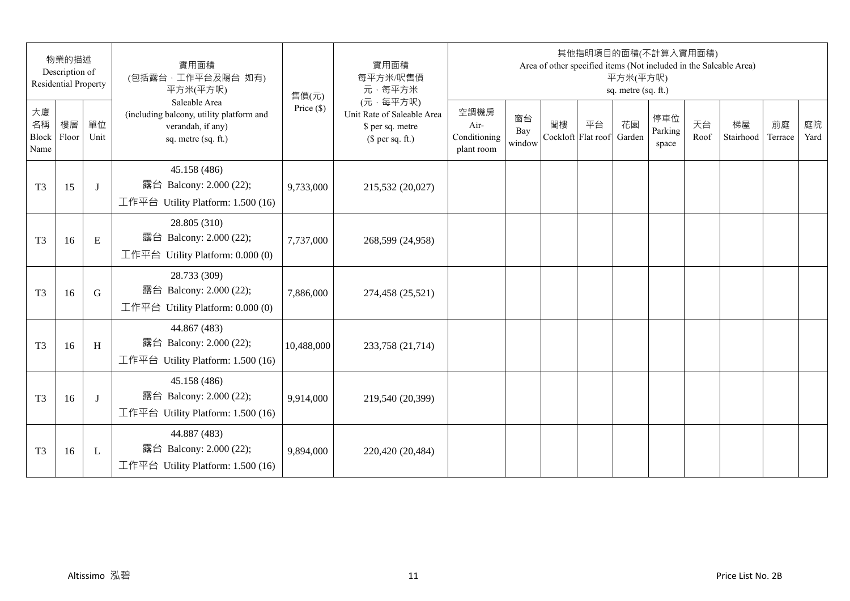| 物業的描述<br>Description of<br><b>Residential Property</b> |             |            | 實用面積<br>(包括露台,工作平台及陽台 如有)<br>平方米(平方呎)                                                                 | 售價(元)        | 實用面積<br>每平方米/呎售價<br>元·每平方米                                                     | 其他指明項目的面積(不計算入實用面積)<br>Area of other specified items (Not included in the Saleable Area)<br>平方米(平方呎)<br>sq. metre (sq. ft.) |                     |    |                          |              |                         |            |                 |               |            |
|--------------------------------------------------------|-------------|------------|-------------------------------------------------------------------------------------------------------|--------------|--------------------------------------------------------------------------------|-----------------------------------------------------------------------------------------------------------------------------|---------------------|----|--------------------------|--------------|-------------------------|------------|-----------------|---------------|------------|
| 大廈<br>名稱<br>Block<br>Name                              | 樓層<br>Floor | 單位<br>Unit | Saleable Area<br>(including balcony, utility platform and<br>verandah, if any)<br>sq. metre (sq. ft.) | Price $(\$)$ | (元·每平方呎)<br>Unit Rate of Saleable Area<br>\$ per sq. metre<br>$$$ per sq. ft.) | 空調機房<br>Air-<br>Conditioning<br>plant room                                                                                  | 窗台<br>Bay<br>window | 閣樓 | 平台<br>Cockloft Flat roof | 花園<br>Garden | 停車位<br>Parking<br>space | 天台<br>Roof | 梯屋<br>Stairhood | 前庭<br>Terrace | 庭院<br>Yard |
| T <sub>3</sub>                                         | 15          | J          | 45.158 (486)<br>露台 Balcony: 2.000 (22);<br>工作平台 Utility Platform: 1.500 (16)                          | 9,733,000    | 215,532 (20,027)                                                               |                                                                                                                             |                     |    |                          |              |                         |            |                 |               |            |
| T <sub>3</sub>                                         | 16          | E          | 28.805 (310)<br>露台 Balcony: 2.000 (22);<br>工作平台 Utility Platform: 0.000 (0)                           | 7,737,000    | 268,599 (24,958)                                                               |                                                                                                                             |                     |    |                          |              |                         |            |                 |               |            |
| T <sub>3</sub>                                         | 16          | G          | 28.733 (309)<br>露台 Balcony: 2.000 (22);<br>工作平台 Utility Platform: $0.000(0)$                          | 7,886,000    | 274,458 (25,521)                                                               |                                                                                                                             |                     |    |                          |              |                         |            |                 |               |            |
| T <sub>3</sub>                                         | 16          | H          | 44.867 (483)<br>露台 Balcony: 2.000 (22);<br>工作平台 Utility Platform: 1.500 (16)                          | 10,488,000   | 233,758 (21,714)                                                               |                                                                                                                             |                     |    |                          |              |                         |            |                 |               |            |
| T <sub>3</sub>                                         | 16          | J          | 45.158 (486)<br>露台 Balcony: 2.000 (22);<br>工作平台 Utility Platform: 1.500 (16)                          | 9,914,000    | 219,540 (20,399)                                                               |                                                                                                                             |                     |    |                          |              |                         |            |                 |               |            |
| T <sub>3</sub>                                         | 16          | L          | 44.887 (483)<br>露台 Balcony: 2.000 (22);<br>工作平台 Utility Platform: $1.500(16)$                         | 9,894,000    | 220,420 (20,484)                                                               |                                                                                                                             |                     |    |                          |              |                         |            |                 |               |            |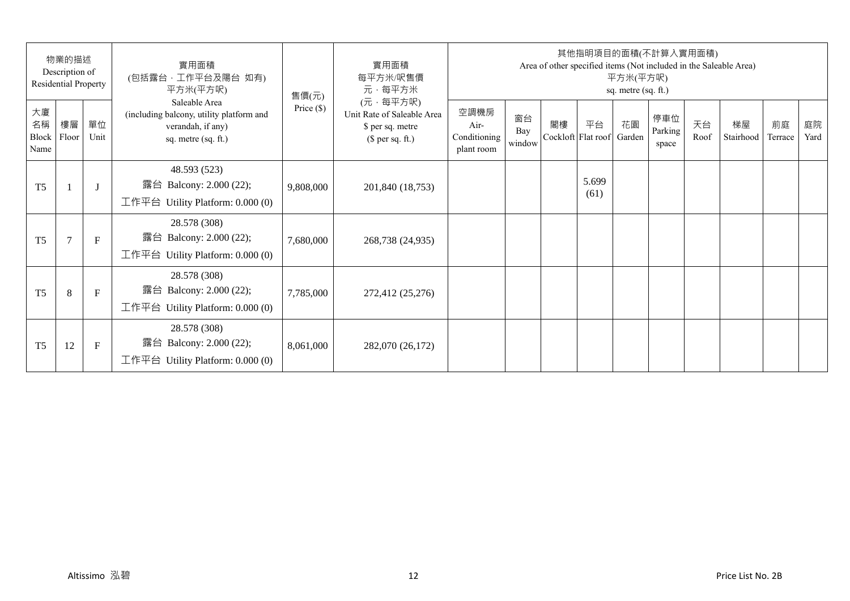| 物業的描述<br>Description of<br><b>Residential Property</b> |                |              | 實用面積<br>(包括露台,工作平台及陽台 如有)<br>平方米(平方呎)                                                                 | 售價(元)        | 實用面積<br>每平方米/呎售價<br>元·每平方米                                                     | 其他指明項目的面積(不計算入實用面積)<br>Area of other specified items (Not included in the Saleable Area)<br>平方米(平方呎)<br>sq. metre (sq. ft.) |                     |                          |               |              |                         |            |                 |               |            |  |
|--------------------------------------------------------|----------------|--------------|-------------------------------------------------------------------------------------------------------|--------------|--------------------------------------------------------------------------------|-----------------------------------------------------------------------------------------------------------------------------|---------------------|--------------------------|---------------|--------------|-------------------------|------------|-----------------|---------------|------------|--|
| 大廈<br>名稱<br>Block<br>Name                              | 樓層<br>Floor    | 單位<br>Unit   | Saleable Area<br>(including balcony, utility platform and<br>verandah, if any)<br>sq. metre (sq. ft.) | Price $(\$)$ | (元·每平方呎)<br>Unit Rate of Saleable Area<br>\$ per sq. metre<br>$$$ per sq. ft.) | 空調機房<br>Air-<br>Conditioning<br>plant room                                                                                  | 窗台<br>Bay<br>window | 閣樓<br>Cockloft Flat roof | 平台            | 花園<br>Garden | 停車位<br>Parking<br>space | 天台<br>Roof | 梯屋<br>Stairhood | 前庭<br>Terrace | 庭院<br>Yard |  |
| T <sub>5</sub>                                         |                | $\lceil$     | 48.593 (523)<br>露台 Balcony: 2.000 (22);<br>工作平台 Utility Platform: $0.000(0)$                          | 9,808,000    | 201,840 (18,753)                                                               |                                                                                                                             |                     |                          | 5.699<br>(61) |              |                         |            |                 |               |            |  |
| T <sub>5</sub>                                         | $\overline{7}$ | $\mathbf{F}$ | 28.578 (308)<br>露台 Balcony: 2.000 (22);<br>工作平台 Utility Platform: 0.000 (0)                           | 7,680,000    | 268,738 (24,935)                                                               |                                                                                                                             |                     |                          |               |              |                         |            |                 |               |            |  |
| T <sub>5</sub>                                         | 8              | $\mathbf{F}$ | 28.578 (308)<br>露台 Balcony: 2.000 (22);<br>工作平台 Utility Platform: $0.000(0)$                          | 7,785,000    | 272,412 (25,276)                                                               |                                                                                                                             |                     |                          |               |              |                         |            |                 |               |            |  |
| T <sub>5</sub>                                         | 12             | $\mathbf F$  | 28.578 (308)<br>露台 Balcony: 2.000 (22);<br>工作平台 Utility Platform: $0.000(0)$                          | 8,061,000    | 282,070 (26,172)                                                               |                                                                                                                             |                     |                          |               |              |                         |            |                 |               |            |  |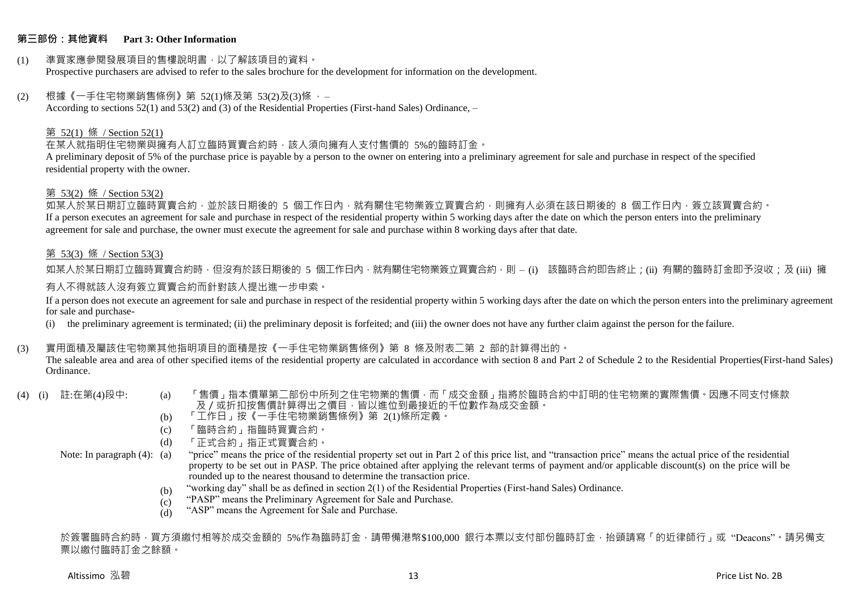### **第三部份:其他資料 Part 3: Other Information**

#### (1) 準買家應參閱發展項目的售樓說明書,以了解該項目的資料。 Prospective purchasers are advised to refer to the sales brochure for the development for information on the development.

#### $(2)$  根據《一手住宅物業銷售條例》第 52(1)條及第 53(2)及(3)條,

According to sections 52(1) and 53(2) and (3) of the Residential Properties (First-hand Sales) Ordinance, –

#### 第 52(1) 條 / Section 52(1)

在某人就指明住宅物業與擁有人訂立臨時買賣合約時,該人須向擁有人支付售價的 5%的臨時訂金。

A preliminary deposit of 5% of the purchase price is payable by a person to the owner on entering into a preliminary agreement for sale and purchase in respect of the specified residential property with the owner.

#### 第 53(2) 條 / Section 53(2)

如某人於某日期訂立臨時買賣合約,並於該日期後的 5 個工作日內,就有關住宅物業簽立買賣合約,則擁有人必須在該日期後的 8 個工作日內,簽立該買賣合約。 If a person executes an agreement for sale and purchase in respect of the residential property within 5 working days after the date on which the person enters into the preliminary agreement for sale and purchase, the owner must execute the agreement for sale and purchase within 8 working days after that date.

#### 第 53(3) 條 / Section 53(3)

如某人於某日期訂立臨時買賣合約時,但沒有於該日期後的 5 個工作日內,就有關住宅物業簽立買賣合約,則 – (i) 該臨時合約即告終止;(ii) 有關的臨時訂金即予沒收;及 (iii) 擁 有人不得就該人沒有簽立買賣合約而針對該人提出進一步申索。

If a person does not execute an agreement for sale and purchase in respect of the residential property within 5 working days after the date on which the person enters into the preliminary agreement for sale and purchase-

(i) the preliminary agreement is terminated; (ii) the preliminary deposit is forfeited; and (iii) the owner does not have any further claim against the person for the failure.

### (3) 實用面積及屬該住宅物業其他指明項目的面積是按《一手住宅物業銷售條例》第 8 條及附表二第 2 部的計算得出的。

The saleable area and area of other specified items of the residential property are calculated in accordance with section 8 and Part 2 of Schedule 2 to the Residential Properties(First-hand Sales) Ordinance.

- 
- (4) (i) 註:在第(4)段中: (a) 「售價」指本價單第二部份中所列之住宅物業的售價,而「成交金額」指將於臨時合約中訂明的住宅物業的實際售價。因應不同支付條款 及/或折扣按售價計算得出之價目,皆以進位到最接近的千位數作為成交金額。
	- (b) 「工作日」按《一手住宅物業銷售條例》第 2(1)條所定義。
	- (c) 「臨時合約」指臨時買賣合約。
	- (d) 「正式合約」指正式買賣合約。

Note: In paragraph (4): (a)

- "price" means the price of the residential property set out in Part 2 of this price list, and "transaction price" means the actual price of the residential property to be set out in PASP. The price obtained after applying the relevant terms of payment and/or applicable discount(s) on the price will be rounded up to the nearest thousand to determine the transaction price.
	- (b) "working day" shall be as defined in section 2(1) of the Residential Properties (First-hand Sales) Ordinance.
	- $(c)$ "PASP" means the Preliminary Agreement for Sale and Purchase.
	- (d) "ASP" means the Agreement for Sale and Purchase.

於簽署臨時合約時,買方須繳付相等於成交金額的 5%作為臨時訂金,請帶備港幣\$100,000 銀行本票以支付部份臨時訂金,抬頭請寫「的近律師行」或"Deacons"。請另備支 票以繳付臨時訂金之餘額。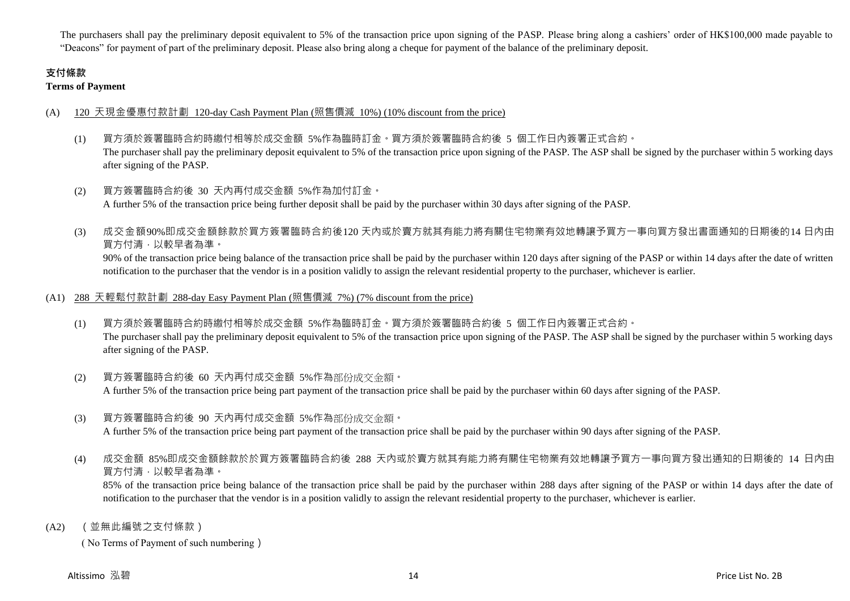The purchasers shall pay the preliminary deposit equivalent to 5% of the transaction price upon signing of the PASP. Please bring along a cashiers' order of HK\$100,000 made payable to "Deacons" for payment of part of the preliminary deposit. Please also bring along a cheque for payment of the balance of the preliminary deposit.

# **支付條款**

**Terms of Payment**

## (A) 120 天現金優惠付款計劃 120-day Cash Payment Plan (照售價減 10%) (10% discount from the price)

- (1) 買方須於簽署臨時合約時繳付相等於成交金額 5%作為臨時訂金。買方須於簽署臨時合約後 5 個工作日內簽署正式合約。 The purchaser shall pay the preliminary deposit equivalent to 5% of the transaction price upon signing of the PASP. The ASP shall be signed by the purchaser within 5 working days after signing of the PASP.
- (2) 買方簽署臨時合約後 30 天內再付成交金額 5%作為加付訂金。 A further 5% of the transaction price being further deposit shall be paid by the purchaser within 30 days after signing of the PASP.
- (3) 成交金額90%即成交金額餘款於買方簽署臨時合約後120 天內或於賣方就其有能力將有關住宅物業有效地轉讓予買方一事向買方發出書面通知的日期後的14 日內由 買方付清,以較早者為準。

90% of the transaction price being balance of the transaction price shall be paid by the purchaser within 120 days after signing of the PASP or within 14 days after the date of written notification to the purchaser that the vendor is in a position validly to assign the relevant residential property to the purchaser, whichever is earlier.

## (A1) 288 天輕鬆付款計劃 288-day Easy Payment Plan (照售價減 7%) (7% discount from the price)

- (1) 買方須於簽署臨時合約時繳付相等於成交金額 5%作為臨時訂金。買方須於簽署臨時合約後 5 個工作日內簽署正式合約。 The purchaser shall pay the preliminary deposit equivalent to 5% of the transaction price upon signing of the PASP. The ASP shall be signed by the purchaser within 5 working days after signing of the PASP.
- (2) 買方簽署臨時合約後 60 天內再付成交金額 5%作為部份成交金額。 A further 5% of the transaction price being part payment of the transaction price shall be paid by the purchaser within 60 days after signing of the PASP.
- (3) 買方簽署臨時合約後 90 天內再付成交金額 5%作為部份成交金額。

A further 5% of the transaction price being part payment of the transaction price shall be paid by the purchaser within 90 days after signing of the PASP.

(4) 成交金額 85%即成交金額餘款於於買方簽署臨時合約後 288 天內或於賣方就其有能力將有關住宅物業有效地轉讓予買方一事向買方發出通知的日期後的 14 日內由 買方付清,以較早者為準。

85% of the transaction price being balance of the transaction price shall be paid by the purchaser within 288 days after signing of the PASP or within 14 days after the date of notification to the purchaser that the vendor is in a position validly to assign the relevant residential property to the purchaser, whichever is earlier.

(A2) (並無此編號之支付條款)

( No Terms of Payment of such numbering)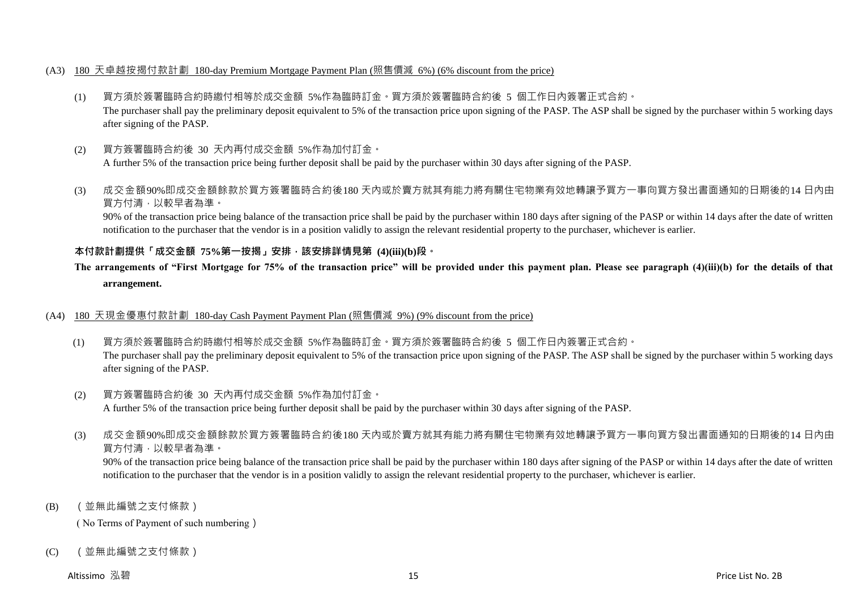### (A3) 180 天卓越按揭付款計劃 180-day Premium Mortgage Payment Plan (照售價減 6%) (6% discount from the price)

- (1) 買方須於簽署臨時合約時繳付相等於成交金額 5%作為臨時訂金。買方須於簽署臨時合約後 5 個工作日內簽署正式合約。 The purchaser shall pay the preliminary deposit equivalent to 5% of the transaction price upon signing of the PASP. The ASP shall be signed by the purchaser within 5 working days after signing of the PASP.
- (2) 買方簽署臨時合約後 30 天內再付成交金額 5%作為加付訂金。 A further 5% of the transaction price being further deposit shall be paid by the purchaser within 30 days after signing of the PASP.
- (3) 成交金額90%即成交金額餘款於買方簽署臨時合約後180 天內或於賣方就其有能力將有關住宅物業有效地轉讓予買方一事向買方發出書面通知的日期後的14 日內由 買方付清,以較早者為準。

90% of the transaction price being balance of the transaction price shall be paid by the purchaser within 180 days after signing of the PASP or within 14 days after the date of written notification to the purchaser that the vendor is in a position validly to assign the relevant residential property to the purchaser, whichever is earlier.

## **本付款計劃提供「成交金額 75%第一按揭」安排,該安排詳情見第 (4)(iii)(b)段。**

# **The arrangements of "First Mortgage for 75% of the transaction price" will be provided under this payment plan. Please see paragraph (4)(iii)(b) for the details of that arrangement.**

### (A4) 180 天現金優惠付款計劃 180-day Cash Payment Payment Plan (照售價減 9%) (9% discount from the price)

- (1) 買方須於簽署臨時合約時繳付相等於成交金額 5%作為臨時訂金。買方須於簽署臨時合約後 5 個工作日內簽署正式合約。 The purchaser shall pay the preliminary deposit equivalent to 5% of the transaction price upon signing of the PASP. The ASP shall be signed by the purchaser within 5 working days after signing of the PASP.
- (2) 買方簽署臨時合約後 30 天內再付成交金額 5%作為加付訂金。 A further 5% of the transaction price being further deposit shall be paid by the purchaser within 30 days after signing of the PASP.
- (3) 成交金額90%即成交金額餘款於買方簽署臨時合約後180 天內或於賣方就其有能力將有關住宅物業有效地轉讓予買方一事向買方發出書面通知的日期後的14 日內由 買方付清,以較早者為準。

90% of the transaction price being balance of the transaction price shall be paid by the purchaser within 180 days after signing of the PASP or within 14 days after the date of written notification to the purchaser that the vendor is in a position validly to assign the relevant residential property to the purchaser, whichever is earlier.

(B) (並無此編號之支付條款)

( No Terms of Payment of such numbering)

(C) (並無此編號之支付條款)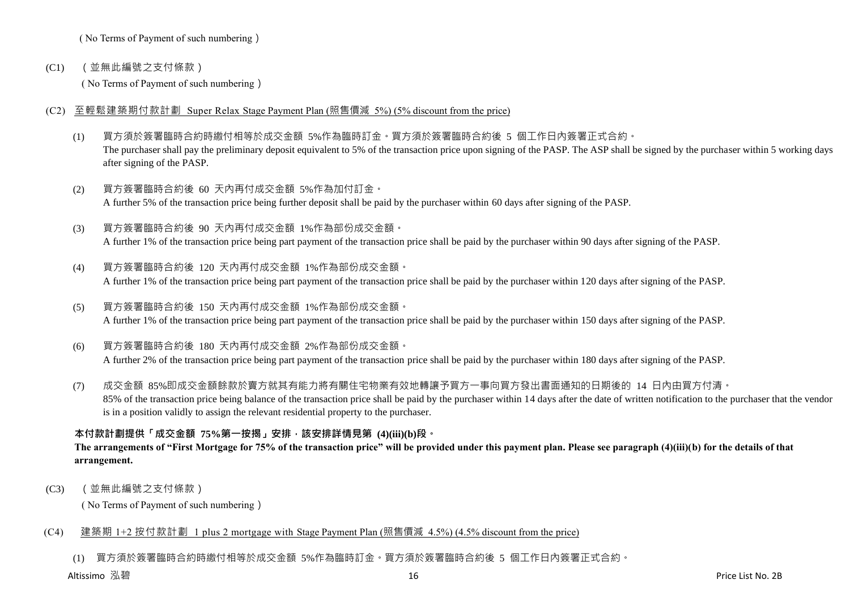( No Terms of Payment of such numbering)

(C1) (並無此編號之支付條款)

( No Terms of Payment of such numbering)

- (C2) 至輕鬆建築期付款計劃 Super Relax Stage Payment Plan (照售價減 5%) (5% discount from the price)
	- (1) 買方須於簽署臨時合約時繳付相等於成交金額 5%作為臨時訂金。買方須於簽署臨時合約後 5 個工作日內簽署正式合約。 The purchaser shall pay the preliminary deposit equivalent to 5% of the transaction price upon signing of the PASP. The ASP shall be signed by the purchaser within 5 working days after signing of the PASP.
	- (2) 買方簽署臨時合約後 60 天內再付成交金額 5%作為加付訂金。 A further 5% of the transaction price being further deposit shall be paid by the purchaser within 60 days after signing of the PASP.
	- (3) 買方簽署臨時合約後 90 天內再付成交金額 1%作為部份成交金額。 A further 1% of the transaction price being part payment of the transaction price shall be paid by the purchaser within 90 days after signing of the PASP.
	- (4) 買方簽署臨時合約後 120 天內再付成交金額 1%作為部份成交金額。 A further 1% of the transaction price being part payment of the transaction price shall be paid by the purchaser within 120 days after signing of the PASP.
	- (5) 買方簽署臨時合約後 150 天內再付成交金額 1%作為部份成交金額。 A further 1% of the transaction price being part payment of the transaction price shall be paid by the purchaser within 150 days after signing of the PASP.
	- (6) 買方簽署臨時合約後 180 天內再付成交金額 2%作為部份成交金額。 A further 2% of the transaction price being part payment of the transaction price shall be paid by the purchaser within 180 days after signing of the PASP.
	- (7) 成交金額 85%即成交金額餘款於賣方就其有能力將有關住宅物業有效地轉讓予買方一事向買方發出書面通知的日期後的 14 日內由買方付清。 85% of the transaction price being balance of the transaction price shall be paid by the purchaser within 14 days after the date of written notification to the purchaser that the vendor is in a position validly to assign the relevant residential property to the purchaser.

# **本付款計劃提供「成交金額 75%第一按揭」安排,該安排詳情見第 (4)(iii)(b)段。**

## **The arrangements of "First Mortgage for 75% of the transaction price" will be provided under this payment plan. Please see paragraph (4)(iii)(b) for the details of that arrangement.**

(C3) (並無此編號之支付條款)

( No Terms of Payment of such numbering)

## (C4) 建築期 1+2 按付款計劃 1 plus 2 mortgage with Stage Payment Plan (照售價減 4.5%) (4.5% discount from the price)

(1) 買方須於簽署臨時合約時繳付相等於成交金額 5%作為臨時訂金。買方須於簽署臨時合約後 5 個工作日內簽署正式合約。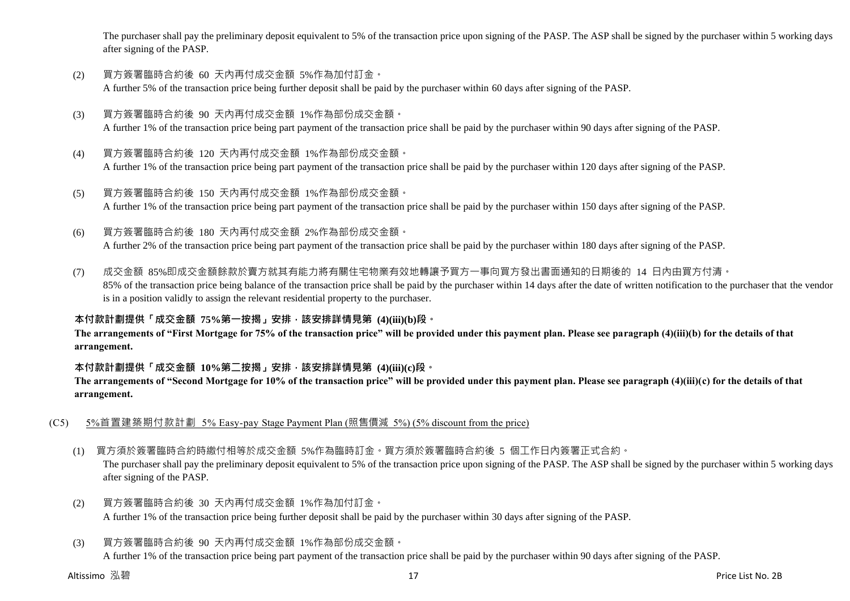The purchaser shall pay the preliminary deposit equivalent to 5% of the transaction price upon signing of the PASP. The ASP shall be signed by the purchaser within 5 working days after signing of the PASP.

- (2) 買方簽署臨時合約後 60 天內再付成交金額 5%作為加付訂金。 A further 5% of the transaction price being further deposit shall be paid by the purchaser within 60 days after signing of the PASP.
- (3) 買方簽署臨時合約後 90 天內再付成交金額 1%作為部份成交金額。 A further 1% of the transaction price being part payment of the transaction price shall be paid by the purchaser within 90 days after signing of the PASP.
- (4) 買方簽署臨時合約後 120 天內再付成交金額 1%作為部份成交金額。 A further 1% of the transaction price being part payment of the transaction price shall be paid by the purchaser within 120 days after signing of the PASP.
- (5) 買方簽署臨時合約後 150 天內再付成交金額 1%作為部份成交金額。 A further 1% of the transaction price being part payment of the transaction price shall be paid by the purchaser within 150 days after signing of the PASP.
- (6) 買方簽署臨時合約後 180 天內再付成交金額 2%作為部份成交金額。

A further 2% of the transaction price being part payment of the transaction price shall be paid by the purchaser within 180 days after signing of the PASP.

(7) 成交金額 85%即成交金額餘款於賣方就其有能力將有關住宅物業有效地轉讓予買方一事向買方發出書面通知的日期後的 14 日內由買方付清。 85% of the transaction price being balance of the transaction price shall be paid by the purchaser within 14 days after the date of written notification to the purchaser that the vendor is in a position validly to assign the relevant residential property to the purchaser.

## **本付款計劃提供「成交金額 75%第一按揭」安排,該安排詳情見第 (4)(iii)(b)段。**

**The arrangements of "First Mortgage for 75% of the transaction price" will be provided under this payment plan. Please see paragraph (4)(iii)(b) for the details of that arrangement.**

### **本付款計劃提供「成交金額 10%第二按揭」安排,該安排詳情見第 (4)(iii)(c)段。**

**The arrangements of "Second Mortgage for 10% of the transaction price" will be provided under this payment plan. Please see paragraph (4)(iii)(c) for the details of that arrangement.**

- (C5) 5%首置建築期付款計劃 5% Easy-pay Stage Payment Plan (照售價減 5%) (5% discount from the price)
	- (1) 買方須於簽署臨時合約時繳付相等於成交金額 5%作為臨時訂金。買方須於簽署臨時合約後 5 個工作日內簽署正式合約。

The purchaser shall pay the preliminary deposit equivalent to 5% of the transaction price upon signing of the PASP. The ASP shall be signed by the purchaser within 5 working days after signing of the PASP.

- (2) 買方簽署臨時合約後 30 天內再付成交金額 1%作為加付訂金。 A further 1% of the transaction price being further deposit shall be paid by the purchaser within 30 days after signing of the PASP.
- (3) 買方簽署臨時合約後 90 天內再付成交金額 1%作為部份成交金額。

A further 1% of the transaction price being part payment of the transaction price shall be paid by the purchaser within 90 days after signing of the PASP.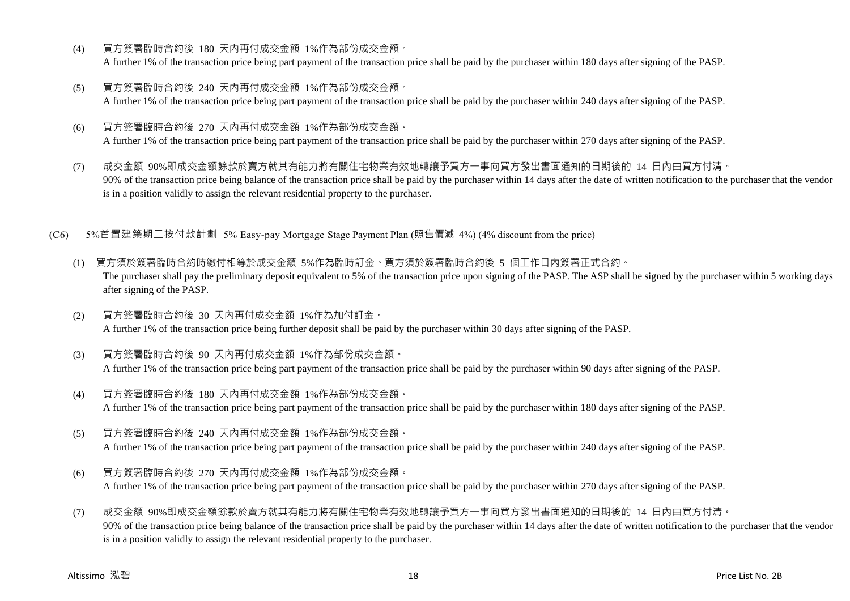- (4) 買方簽署臨時合約後 180 天內再付成交金額 1%作為部份成交金額。 A further 1% of the transaction price being part payment of the transaction price shall be paid by the purchaser within 180 days after signing of the PASP.
- (5) 買方簽署臨時合約後 240 天內再付成交金額 1%作為部份成交金額。 A further 1% of the transaction price being part payment of the transaction price shall be paid by the purchaser within 240 days after signing of the PASP.
- (6) 買方簽署臨時合約後 270 天內再付成交金額 1%作為部份成交金額。 A further 1% of the transaction price being part payment of the transaction price shall be paid by the purchaser within 270 days after signing of the PASP.
- (7) 成交金額 90%即成交金額餘款於賣方就其有能力將有關住宅物業有效地轉讓予買方一事向買方發出書面通知的日期後的 14 日內由買方付清。 90% of the transaction price being balance of the transaction price shall be paid by the purchaser within 14 days after the date of written notification to the purchaser that the vendor is in a position validly to assign the relevant residential property to the purchaser.

#### (C6) 5%首置建築期二按付款計劃 5% Easy-pay Mortgage Stage Payment Plan (照售價減 4%) (4% discount from the price)

- (1) 買方須於簽署臨時合約時繳付相等於成交金額 5%作為臨時訂金。買方須於簽署臨時合約後 5 個工作日內簽署正式合約。 The purchaser shall pay the preliminary deposit equivalent to 5% of the transaction price upon signing of the PASP. The ASP shall be signed by the purchaser within 5 working days after signing of the PASP.
- (2) 買方簽署臨時合約後 30 天內再付成交金額 1%作為加付訂金。 A further 1% of the transaction price being further deposit shall be paid by the purchaser within 30 days after signing of the PASP.
- (3) 買方簽署臨時合約後 90 天內再付成交金額 1%作為部份成交金額。 A further 1% of the transaction price being part payment of the transaction price shall be paid by the purchaser within 90 days after signing of the PASP.
- (4) 買方簽署臨時合約後 180 天內再付成交金額 1%作為部份成交金額。 A further 1% of the transaction price being part payment of the transaction price shall be paid by the purchaser within 180 days after signing of the PASP.
- (5) 買方簽署臨時合約後 240 天內再付成交金額 1%作為部份成交金額。

A further 1% of the transaction price being part payment of the transaction price shall be paid by the purchaser within 240 days after signing of the PASP.

- (6) 買方簽署臨時合約後 270 天內再付成交金額 1%作為部份成交金額。 A further 1% of the transaction price being part payment of the transaction price shall be paid by the purchaser within 270 days after signing of the PASP.
- (7) 成交金額 90%即成交金額餘款於賣方就其有能力將有關住宅物業有效地轉讓予買方一事向買方發出書面通知的日期後的 14 日內由買方付清。 90% of the transaction price being balance of the transaction price shall be paid by the purchaser within 14 days after the date of written notification to the purchaser that the vendor is in a position validly to assign the relevant residential property to the purchaser.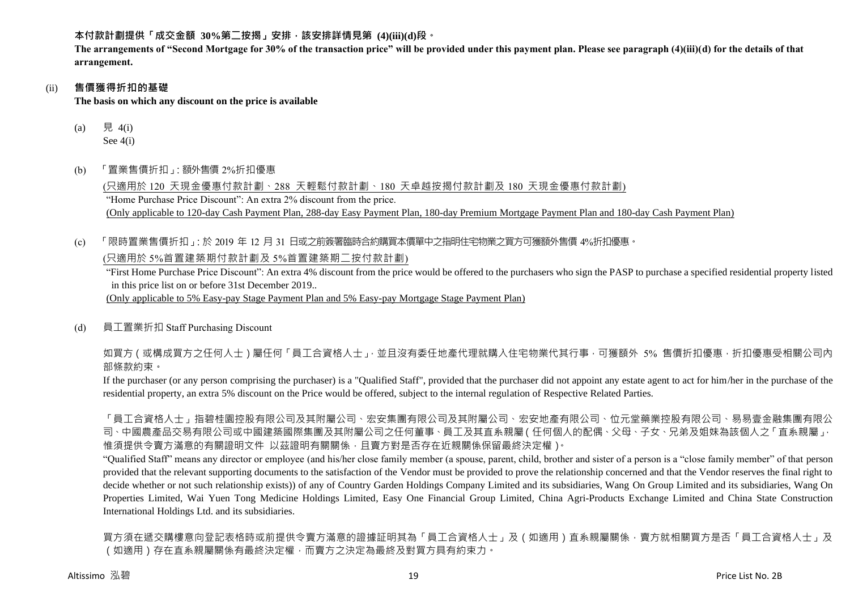**本付款計劃提供「成交金額 30%第二按揭」安排,該安排詳情見第 (4)(iii)(d)段。**

**The arrangements of "Second Mortgage for 30% of the transaction price" will be provided under this payment plan. Please see paragraph (4)(iii)(d) for the details of that arrangement.**

## (ii) **售價獲得折扣的基礎**

**The basis on which any discount on the price is available**

- (a) 見 4(i) See 4(i)
- (b) 「置業售價折扣」:額外售價 2%折扣優惠

(只適用於 120 天現金優惠付款計劃、288 天輕鬆付款計劃、180 天卓越按揭付款計劃及 180 天現金優惠付款計劃) "Home Purchase Price Discount": An extra 2% discount from the price. (Only applicable to 120-day Cash Payment Plan, 288-day Easy Payment Plan, 180-day Premium Mortgage Payment Plan and 180-day Cash Payment Plan)

(c) 「限時置業售價折扣」:於 2019 年 12 月 31 日或之前簽署臨時合約購買本價單中之指明住宅物業之買方可獲額外售價 4%折扣優惠。 (只適用於 5%首置建築期付款計劃及 5%首置建築期二按付款計劃)

"First Home Purchase Price Discount": An extra 4% discount from the price would be offered to the purchasers who sign the PASP to purchase a specified residential property listed in this price list on or before 31st December 2019..

(Only applicable to 5% Easy-pay Stage Payment Plan and 5% Easy-pay Mortgage Stage Payment Plan)

(d) 員工置業折扣 Staff Purchasing Discount

如買方(或構成買方之任何人士)屬任何「員工合資格人士」,並且沒有委任地產代理就購入住宅物業代其行事,可獲額外 5% 售價折扣優惠,折扣優惠受相關公司內 部條款約束。

If the purchaser (or any person comprising the purchaser) is a "Qualified Staff", provided that the purchaser did not appoint any estate agent to act for him/her in the purchase of the residential property, an extra 5% discount on the Price would be offered, subject to the internal regulation of Respective Related Parties.

「員工合資格人士」指碧桂園控股有限公司及其附屬公司、宏安集團有限公司及其附屬公司、宏安地產有限公司、位元堂藥業控股有限公司、易易壹金融集團有限公 司、中國農產品交易有限公司或中國建築國際集團及其附屬公司之任何董事、員工及其直系親屬(任何個人的配偶、父母、子女、兄弟及姐妹為該個人之「直系親屬」, 惟須提供令賣方滿意的有關證明文件 以茲證明有關關係,且賣方對是否存在近親關係保留最終決定權)。

"Qualified Staff" means any director or employee (and his/her close family member (a spouse, parent, child, brother and sister of a person is a "close family member" of that person provided that the relevant supporting documents to the satisfaction of the Vendor must be provided to prove the relationship concerned and that the Vendor reserves the final right to decide whether or not such relationship exists)) of any of Country Garden Holdings Company Limited and its subsidiaries, Wang On Group Limited and its subsidiaries, Wang On Properties Limited, Wai Yuen Tong Medicine Holdings Limited, Easy One Financial Group Limited, China Agri-Products Exchange Limited and China State Construction International Holdings Ltd. and its subsidiaries.

買方須在遞交購樓意向登記表格時或前提供令賣方滿意的證據証明其為「員工合資格人士」及(如適用)直系親屬關係,賣方就相關買方是否「員工合資格人士」及 (如適用)存在直系親屬關係有最終決定權,而賣方之決定為最終及對買方具有約束力。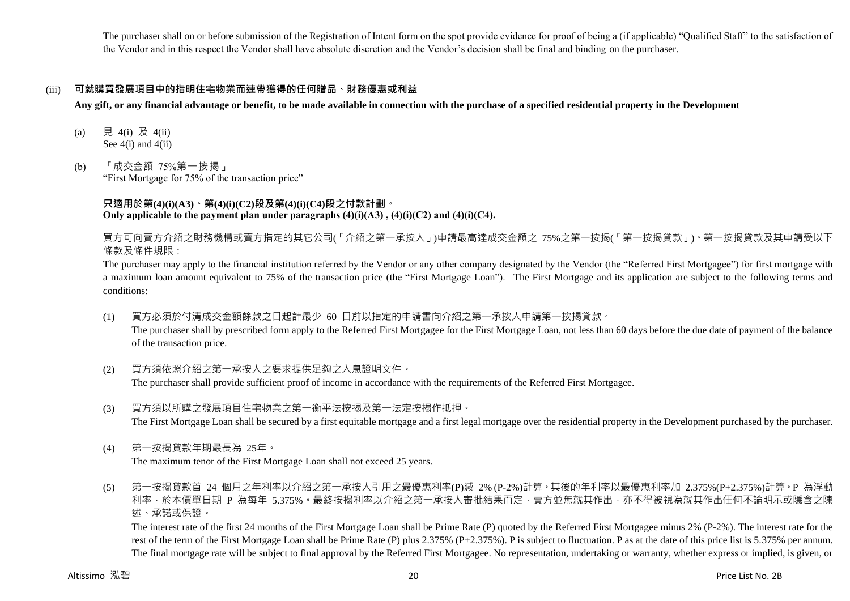The purchaser shall on or before submission of the Registration of Intent form on the spot provide evidence for proof of being a (if applicable) "Qualified Staff" to the satisfaction of the Vendor and in this respect the Vendor shall have absolute discretion and the Vendor's decision shall be final and binding on the purchaser.

## (iii) **可就購買發展項目中的指明住宅物業而連帶獲得的任何贈品、財務優惠或利益**

**Any gift, or any financial advantage or benefit, to be made available in connection with the purchase of a specified residential property in the Development**

- (a) 見 4(i) 及 4(ii) See  $4(i)$  and  $4(ii)$
- (b) 「成交金額 75%第一按揭」

"First Mortgage for 75% of the transaction price"

## **只適用於第(4)(i)(A3)、第(4)(i)(C2)段及第(4)(i)(C4)段之付款計劃。 Only applicable to the payment plan under paragraphs**  $(4)(i)(A3)$ **,**  $(4)(i)(C2)$  **and**  $(4)(i)(C4)$ **.**

買方可向賣方介紹之財務機構或賣方指定的其它公司(「介紹之第一承按人」)申請最高達成交金額之 75%之第一按揭(「第一按揭貸款」)。第一按揭貸款及其申請受以下 條款及條件規限:

The purchaser may apply to the financial institution referred by the Vendor or any other company designated by the Vendor (the "Referred First Mortgagee") for first mortgage with a maximum loan amount equivalent to 75% of the transaction price (the "First Mortgage Loan"). The First Mortgage and its application are subject to the following terms and conditions:

(1) 買方必須於付清成交金額餘款之日起計最少 60 日前以指定的申請書向介紹之第一承按人申請第一按揭貸款。

The purchaser shall by prescribed form apply to the Referred First Mortgagee for the First Mortgage Loan, not less than 60 days before the due date of payment of the balance of the transaction price.

(2) 買方須依照介紹之第一承按人之要求提供足夠之入息證明文件。

The purchaser shall provide sufficient proof of income in accordance with the requirements of the Referred First Mortgagee.

- (3) 買方須以所購之發展項目住宅物業之第一衡平法按揭及第一法定按揭作抵押。 The First Mortgage Loan shall be secured by a first equitable mortgage and a first legal mortgage over the residential property in the Development purchased by the purchaser.
- (4) 第一按揭貸款年期最長為 25年。 The maximum tenor of the First Mortgage Loan shall not exceed 25 years.
- (5) 第一按揭貸款首 24 個月之年利率以介紹之第一承按人引用之最優惠利率(P)減 2% (P-2%)計算。其後的年利率以最優惠利率加 2.375%(P+2.375%)計算。P 為浮動 利率,於本價單日期 P 為每年 5.375%。最終按揭利率以介紹之第一承按人審批結果而定,賣方並無就其作出,亦不得被視為就其作出任何不論明示或隱含之陳 述、承諾或保證。

The interest rate of the first 24 months of the First Mortgage Loan shall be Prime Rate (P) quoted by the Referred First Mortgagee minus 2% (P-2%). The interest rate for the rest of the term of the First Mortgage Loan shall be Prime Rate (P) plus 2.375% (P+2.375%). P is subject to fluctuation. P as at the date of this price list is 5.375% per annum. The final mortgage rate will be subject to final approval by the Referred First Mortgagee. No representation, undertaking or warranty, whether express or implied, is given, or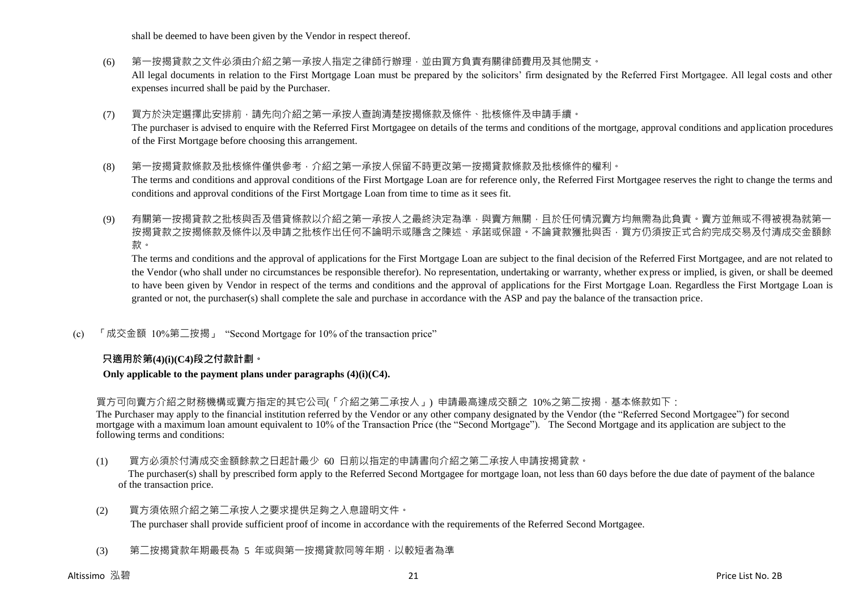shall be deemed to have been given by the Vendor in respect thereof.

- (6) 第一按揭貸款之文件必須由介紹之第一承按人指定之律師行辦理,並由買方負責有關律師費用及其他開支。 All legal documents in relation to the First Mortgage Loan must be prepared by the solicitors' firm designated by the Referred First Mortgagee. All legal costs and other expenses incurred shall be paid by the Purchaser.
- (7) 買方於決定選擇此安排前,請先向介紹之第一承按人查詢清楚按揭條款及條件、批核條件及申請手續。 The purchaser is advised to enquire with the Referred First Mortgagee on details of the terms and conditions of the mortgage, approval conditions and application procedures of the First Mortgage before choosing this arrangement.
- (8) 第一按揭貸款條款及批核條件僅供參考,介紹之第一承按人保留不時更改第一按揭貸款條款及批核條件的權利。 The terms and conditions and approval conditions of the First Mortgage Loan are for reference only, the Referred First Mortgagee reserves the right to change the terms and conditions and approval conditions of the First Mortgage Loan from time to time as it sees fit.
- (9) 有關第一按揭貸款之批核與否及借貸條款以介紹之第一承按人之最終決定為準,與賣方無關,且於任何情況賣方均無需為此負責。賣方並無或不得被視為就第一 按揭貸款之按揭條款及條件以及申請之批核作出任何不論明示或隱含之陳述、承諾或保證。不論貸款獲批與否,買方仍須按正式合約完成交易及付清成交金額餘 款。

The terms and conditions and the approval of applications for the First Mortgage Loan are subject to the final decision of the Referred First Mortgagee, and are not related to the Vendor (who shall under no circumstances be responsible therefor). No representation, undertaking or warranty, whether express or implied, is given, or shall be deemed to have been given by Vendor in respect of the terms and conditions and the approval of applications for the First Mortgage Loan. Regardless the First Mortgage Loan is granted or not, the purchaser(s) shall complete the sale and purchase in accordance with the ASP and pay the balance of the transaction price.

(c) 「成交金額 10%第二按揭」 "Second Mortgage for 10% of the transaction price"

## **只適用於第(4)(i)(C4)段之付款計劃。**

#### **Only applicable to the payment plans under paragraphs (4)(i)(C4).**

買方可向賣方介紹之財務機構或賣方指定的其它公司(「介紹之第二承按人」) 申請最高達成交額之 10%之第二按揭,基本條款如下:

The Purchaser may apply to the financial institution referred by the Vendor or any other company designated by the Vendor (the "Referred Second Mortgagee") for second mortgage with a maximum loan amount equivalent to 10% of the Transaction Price (the "Second Mortgage"). The Second Mortgage and its application are subject to the following terms and conditions:

(1) 買方必須於付清成交金額餘款之日起計最少 60 日前以指定的申請書向介紹之第二承按人申請按揭貸款。

The purchaser(s) shall by prescribed form apply to the Referred Second Mortgagee for mortgage loan, not less than 60 days before the due date of payment of the balance of the transaction price.

(2) 買方須依照介紹之第二承按人之要求提供足夠之入息證明文件。

The purchaser shall provide sufficient proof of income in accordance with the requirements of the Referred Second Mortgagee.

(3) 第二按揭貸款年期最長為 5 年或與第一按揭貸款同等年期,以較短者為準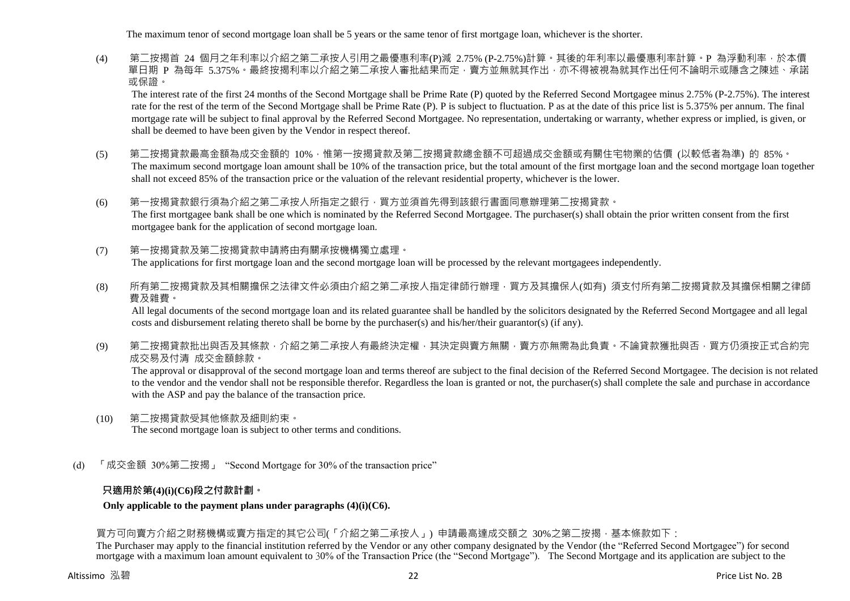The maximum tenor of second mortgage loan shall be 5 years or the same tenor of first mortgage loan, whichever is the shorter.

(4) 第二按揭首 24 個月之年利率以介紹之第二承按人引用之最優惠利率(P)減 2.75% (P-2.75%)計算。其後的年利率以最優惠利率計算。P 為浮動利率,於本價 單日期 P 為每年 5.375%。最終按揭利率以介紹之第二承按人審批結果而定,賣方並無就其作出,亦不得被視為就其作出任何不論明示或隱含之陳述、承諾 或保證。

The interest rate of the first 24 months of the Second Mortgage shall be Prime Rate (P) quoted by the Referred Second Mortgagee minus 2.75% (P-2.75%). The interest rate for the rest of the term of the Second Mortgage shall be Prime Rate (P). P is subject to fluctuation. P as at the date of this price list is 5.375% per annum. The final mortgage rate will be subject to final approval by the Referred Second Mortgagee. No representation, undertaking or warranty, whether express or implied, is given, or shall be deemed to have been given by the Vendor in respect thereof.

- (5) 第二按揭貸款最高金額為成交金額的 10%,惟第一按揭貸款及第二按揭貸款總金額不可超過成交金額或有關住宅物業的估價 (以較低者為準) 的 85%。 The maximum second mortgage loan amount shall be 10% of the transaction price, but the total amount of the first mortgage loan and the second mortgage loan together shall not exceed 85% of the transaction price or the valuation of the relevant residential property, whichever is the lower.
- (6) 第一按揭貸款銀行須為介紹之第二承按人所指定之銀行,買方並須首先得到該銀行書面同意辦理第二按揭貸款。 The first mortgagee bank shall be one which is nominated by the Referred Second Mortgagee. The purchaser(s) shall obtain the prior written consent from the first mortgagee bank for the application of second mortgage loan.
- (7) 第一按揭貸款及第二按揭貸款申請將由有關承按機構獨立處理。 The applications for first mortgage loan and the second mortgage loan will be processed by the relevant mortgagees independently.
- (8) 所有第二按揭貸款及其相關擔保之法律文件必須由介紹之第二承按人指定律師行辦理,買方及其擔保人(如有) 須支付所有第二按揭貸款及其擔保相關之律師 費及雜費。

All legal documents of the second mortgage loan and its related guarantee shall be handled by the solicitors designated by the Referred Second Mortgagee and all legal costs and disbursement relating thereto shall be borne by the purchaser(s) and his/her/their guarantor(s) (if any).

(9) 第二按揭貸款批出與否及其條款,介紹之第二承按人有最終決定權,其決定與賣方無關,賣方亦無需為此負責。不論貸款獲批與否,買方仍須按正式合約完 成交易及付清 成交金額餘款。

The approval or disapproval of the second mortgage loan and terms thereof are subject to the final decision of the Referred Second Mortgagee. The decision is not related to the vendor and the vendor shall not be responsible therefor. Regardless the loan is granted or not, the purchaser(s) shall complete the sale and purchase in accordance with the ASP and pay the balance of the transaction price.

- (10) 第二按揭貸款受其他條款及細則約束。 The second mortgage loan is subject to other terms and conditions.
- (d) 「成交金額 30%第二按揭」 "Second Mortgage for 30% of the transaction price"

## **只適用於第(4)(i)(C6)段之付款計劃。**

### **Only applicable to the payment plans under paragraphs (4)(i)(C6).**

買方可向賣方介紹之財務機構或賣方指定的其它公司(「介紹之第二承按人」) 申請最高達成交額之 30%之第二按揭,基本條款如下:

The Purchaser may apply to the financial institution referred by the Vendor or any other company designated by the Vendor (the "Referred Second Mortgagee") for second mortgage with a maximum loan amount equivalent to 30% of the Transaction Price (the "Second Mortgage"). The Second Mortgage and its application are subject to the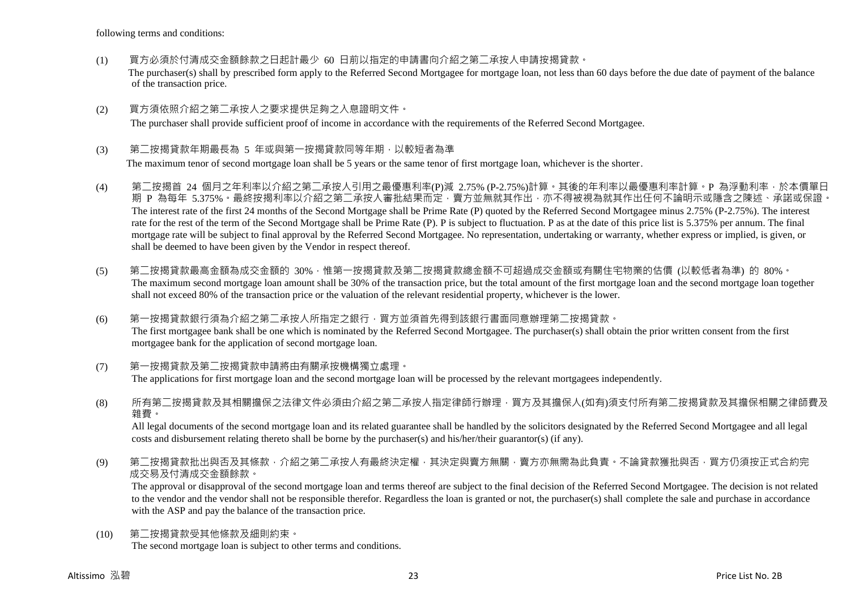following terms and conditions:

- (1) 買方必須於付清成交金額餘款之日起計最少 60 日前以指定的申請書向介紹之第二承按人申請按揭貸款。 The purchaser(s) shall by prescribed form apply to the Referred Second Mortgagee for mortgage loan, not less than 60 days before the due date of payment of the balance of the transaction price.
- (2) 買方須依照介紹之第二承按人之要求提供足夠之入息證明文件。

The purchaser shall provide sufficient proof of income in accordance with the requirements of the Referred Second Mortgagee.

#### (3) 第二按揭貸款年期最長為 5 年或與第一按揭貸款同等年期,以較短者為準

The maximum tenor of second mortgage loan shall be 5 years or the same tenor of first mortgage loan, whichever is the shorter.

- (4) 第二按揭首 24 個月之年利率以介紹之第二承按人引用之最優惠利率(P)減 2.75% (P-2.75%)計算。其後的年利率以最優惠利率計算。P 為浮動利率,於本價單日 期 P 為每年 5.375%。最終按揭利率以介紹之第二承按人審批結果而定,賣方並無就其作出,亦不得被視為就其作出任何不論明示或隱含之陳述、承諾或保證。 The interest rate of the first 24 months of the Second Mortgage shall be Prime Rate (P) quoted by the Referred Second Mortgagee minus 2.75% (P-2.75%). The interest rate for the rest of the term of the Second Mortgage shall be Prime Rate (P). P is subject to fluctuation. P as at the date of this price list is 5.375% per annum. The final mortgage rate will be subject to final approval by the Referred Second Mortgagee. No representation, undertaking or warranty, whether express or implied, is given, or shall be deemed to have been given by the Vendor in respect thereof.
- (5) 第二按揭貸款最高金額為成交金額的 30%,惟第一按揭貸款及第二按揭貸款總金額不可超過成交金額或有關住宅物業的估價 (以較低者為準) 的 80%。 The maximum second mortgage loan amount shall be 30% of the transaction price, but the total amount of the first mortgage loan and the second mortgage loan together shall not exceed 80% of the transaction price or the valuation of the relevant residential property, whichever is the lower.
- (6) 第一按揭貸款銀行須為介紹之第二承按人所指定之銀行,買方並須首先得到該銀行書面同意辦理第二按揭貸款。 The first mortgagee bank shall be one which is nominated by the Referred Second Mortgagee. The purchaser(s) shall obtain the prior written consent from the first mortgagee bank for the application of second mortgage loan.
- (7) 第一按揭貸款及第二按揭貸款申請將由有關承按機構獨立處理。 The applications for first mortgage loan and the second mortgage loan will be processed by the relevant mortgagees independently.
- (8) 所有第二按揭貸款及其相關擔保之法律文件必須由介紹之第二承按人指定律師行辦理,買方及其擔保人(如有)須支付所有第二按揭貸款及其擔保相關之律師費及 雜費。

All legal documents of the second mortgage loan and its related guarantee shall be handled by the solicitors designated by the Referred Second Mortgagee and all legal costs and disbursement relating thereto shall be borne by the purchaser(s) and his/her/their guarantor(s) (if any).

(9) 第二按揭貸款批出與否及其條款,介紹之第二承按人有最終決定權,其決定與賣方無關,賣方亦無需為此負責。不論貸款獲批與否,買方仍須按正式合約完 成交易及付清成交金額餘款。

The approval or disapproval of the second mortgage loan and terms thereof are subject to the final decision of the Referred Second Mortgagee. The decision is not related to the vendor and the vendor shall not be responsible therefor. Regardless the loan is granted or not, the purchaser(s) shall complete the sale and purchase in accordance with the ASP and pay the balance of the transaction price.

(10) 第二按揭貸款受其他條款及細則約束。 The second mortgage loan is subject to other terms and conditions.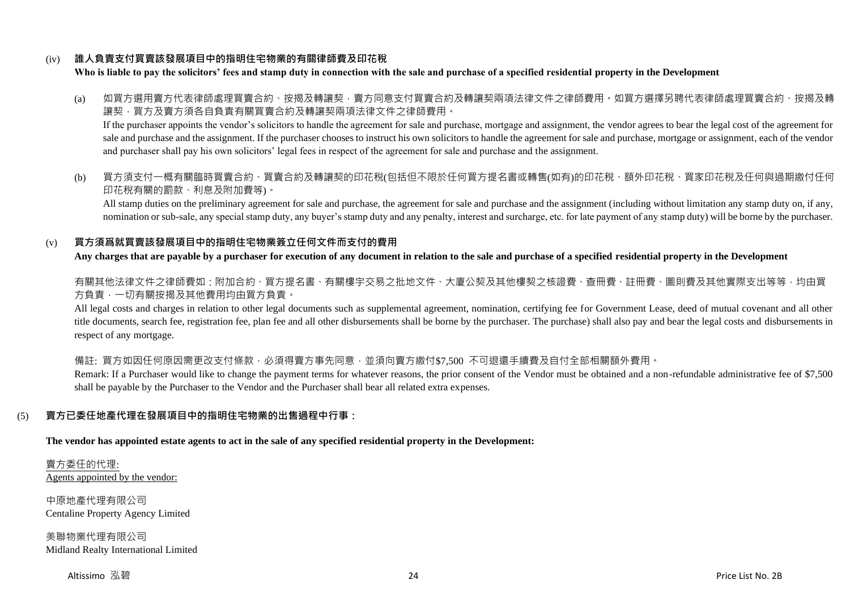## (iv) **誰人負責支付買賣該發展項目中的指明住宅物業的有關律師費及印花稅**

**Who is liable to pay the solicitors' fees and stamp duty in connection with the sale and purchase of a specified residential property in the Development**

(a) 如買方選用賣方代表律師處理買賣合約、按揭及轉讓契,賣方同意支付買賣合約及轉讓契兩項法律文件之律師費用。如買方選擇另聘代表律師處理買賣合約、按揭及轉 讓契,買方及賣方須各自負責有關買賣合約及轉讓契兩項法律文件之律師費用。

If the purchaser appoints the vendor's solicitors to handle the agreement for sale and purchase, mortgage and assignment, the vendor agrees to bear the legal cost of the agreement for sale and purchase and the assignment. If the purchaser chooses to instruct his own solicitors to handle the agreement for sale and purchase, mortgage or assignment, each of the vendor and purchaser shall pay his own solicitors' legal fees in respect of the agreement for sale and purchase and the assignment.

(b) 買方須支付一概有關臨時買賣合約、買賣合約及轉讓契的印花稅(包括但不限於任何買方提名書或轉售(如有)的印花稅、額外印花稅、買家印花稅及任何與過期繳付任何 印花稅有關的罰款、利息及附加費等)。

All stamp duties on the preliminary agreement for sale and purchase, the agreement for sale and purchase and the assignment (including without limitation any stamp duty on, if any, nomination or sub-sale, any special stamp duty, any buyer's stamp duty and any penalty, interest and surcharge, etc. for late payment of any stamp duty) will be borne by the purchaser.

## (v) **買方須爲就買賣該發展項目中的指明住宅物業簽立任何文件而支付的費用**

**Any charges that are payable by a purchaser for execution of any document in relation to the sale and purchase of a specified residential property in the Development**

有關其他法律文件之律師費如:附加合約、買方提名書、有關樓宇交易之批地文件、大廈公契及其他樓契之核證費、查冊費、註冊費、圖則費及其他實際支出等等,均由買 方負責,一切有關按揭及其他費用均由買方負責。

All legal costs and charges in relation to other legal documents such as supplemental agreement, nomination, certifying fee for Government Lease, deed of mutual covenant and all other title documents, search fee, registration fee, plan fee and all other disbursements shall be borne by the purchaser. The purchase) shall also pay and bear the legal costs and disbursements in respect of any mortgage.

備註: 買方如因任何原因需更改支付條款,必須得賣方事先同意,並須向賣方繳付\$7,500 不可退還手續費及自付全部相關額外費用。

Remark: If a Purchaser would like to change the payment terms for whatever reasons, the prior consent of the Vendor must be obtained and a non-refundable administrative fee of \$7,500 shall be payable by the Purchaser to the Vendor and the Purchaser shall bear all related extra expenses.

## (5) **賣方已委任地產代理在發展項目中的指明住宅物業的出售過程中行事:**

**The vendor has appointed estate agents to act in the sale of any specified residential property in the Development:**

賣方委任的代理: Agents appointed by the vendor:

中原地產代理有限公司 Centaline Property Agency Limited

美聯物業代理有限公司 Midland Realty International Limited